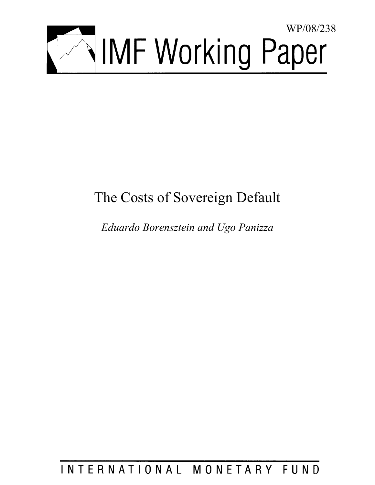

# The Costs of Sovereign Default

*Eduardo Borensztein and Ugo Panizza* 

# INTERNATIONAL MONETARY FUND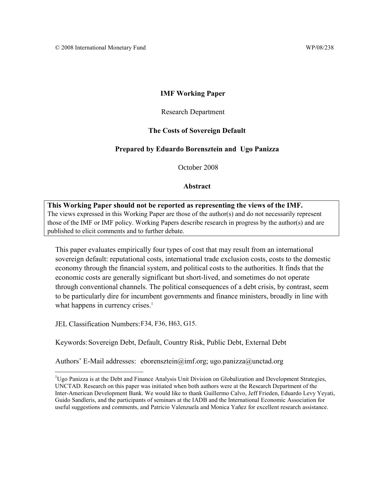### **IMF Working Paper**

### Research Department

### **The Costs of Sovereign Default**

### **Prepared by Eduardo Borensztein and Ugo Panizza**

October 2008

### **Abstract**

### **This Working Paper should not be reported as representing the views of the IMF.** The views expressed in this Working Paper are those of the author(s) and do not necessarily represent those of the IMF or IMF policy. Working Papers describe research in progress by the author(s) and are published to elicit comments and to further debate.

This paper evaluates empirically four types of cost that may result from an international sovereign default: reputational costs, international trade exclusion costs, costs to the domestic economy through the financial system, and political costs to the authorities. It finds that the economic costs are generally significant but short-lived, and sometimes do not operate through conventional channels. The political consequences of a debt crisis, by contrast, seem to be particularly dire for incumbent governments and finance ministers, broadly in line with what happens in currency crises. $<sup>1</sup>$ </sup>

JEL Classification Numbers: F34, F36, H63, G15.

1

Keywords: Sovereign Debt, Default, Country Risk, Public Debt, External Debt

Authors' E-Mail addresses: eborensztein@imf.org; ugo.panizza@unctad.org

<sup>&</sup>lt;sup>1</sup>Ugo Panizza is at the Debt and Finance Analysis Unit Division on Globalization and Development Strategies, UNCTAD. Research on this paper was initiated when both authors were at the Research Department of the Inter-American Development Bank. We would like to thank Guillermo Calvo, Jeff Frieden, Eduardo Levy Yeyati, Guido Sandleris, and the participants of seminars at the IADB and the International Economic Association for useful suggestions and comments, and Patricio Valenzuela and Monica Yañez for excellent research assistance.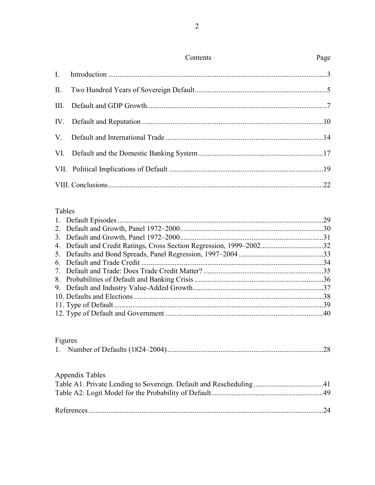|                | Contents | Page |
|----------------|----------|------|
| $\mathbf{I}$ . |          |      |
|                |          |      |
|                |          |      |
|                |          |      |
|                |          |      |
|                |          |      |
|                |          |      |
|                |          |      |

# Tables

### Figures

# Appendix Tables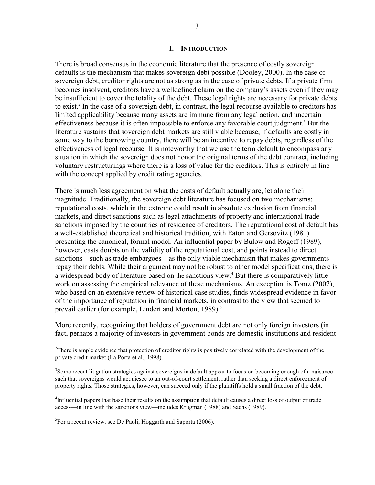#### **I. INTRODUCTION**

There is broad consensus in the economic literature that the presence of costly sovereign defaults is the mechanism that makes sovereign debt possible (Dooley, 2000). In the case of sovereign debt, creditor rights are not as strong as in the case of private debts. If a private firm becomes insolvent, creditors have a welldefined claim on the company's assets even if they may be insufficient to cover the totality of the debt. These legal rights are necessary for private debts to exist.<sup>2</sup> In the case of a sovereign debt, in contrast, the legal recourse available to creditors has limited applicability because many assets are immune from any legal action, and uncertain effectiveness because it is often impossible to enforce any favorable court judgment.<sup>3</sup> But the literature sustains that sovereign debt markets are still viable because, if defaults are costly in some way to the borrowing country, there will be an incentive to repay debts, regardless of the effectiveness of legal recourse. It is noteworthy that we use the term default to encompass any situation in which the sovereign does not honor the original terms of the debt contract, including voluntary restructurings where there is a loss of value for the creditors. This is entirely in line with the concept applied by credit rating agencies.

There is much less agreement on what the costs of default actually are, let alone their magnitude. Traditionally, the sovereign debt literature has focused on two mechanisms: reputational costs, which in the extreme could result in absolute exclusion from financial markets, and direct sanctions such as legal attachments of property and international trade sanctions imposed by the countries of residence of creditors. The reputational cost of default has a well-established theoretical and historical tradition, with Eaton and Gersovitz (1981) presenting the canonical, formal model. An influential paper by Bulow and Rogoff (1989), however, casts doubts on the validity of the reputational cost, and points instead to direct sanctions—such as trade embargoes—as the only viable mechanism that makes governments repay their debts. While their argument may not be robust to other model specifications, there is a widespread body of literature based on the sanctions view.<sup>4</sup> But there is comparatively little work on assessing the empirical relevance of these mechanisms. An exception is Tomz (2007), who based on an extensive review of historical case studies, finds widespread evidence in favor of the importance of reputation in financial markets, in contrast to the view that seemed to prevail earlier (for example, Lindert and Morton, 1989).<sup>5</sup>

More recently, recognizing that holders of government debt are not only foreign investors (in fact, perhaps a majority of investors in government bonds are domestic institutions and resident

<sup>5</sup>For a recent review, see De Paoli, Hoggarth and Saporta (2006).

<u>.</u>

 $2^2$ There is ample evidence that protection of creditor rights is positively correlated with the development of the private credit market (La Porta et al., 1998).

<sup>&</sup>lt;sup>3</sup>Some recent litigation strategies against sovereigns in default appear to focus on becoming enough of a nuisance such that sovereigns would acquiesce to an out-of-court settlement, rather than seeking a direct enforcement of property rights. Those strategies, however, can succeed only if the plaintiffs hold a small fraction of the debt.

<sup>&</sup>lt;sup>4</sup>Influential papers that base their results on the assumption that default causes a direct loss of output or trade access—in line with the sanctions view—includes Krugman (1988) and Sachs (1989).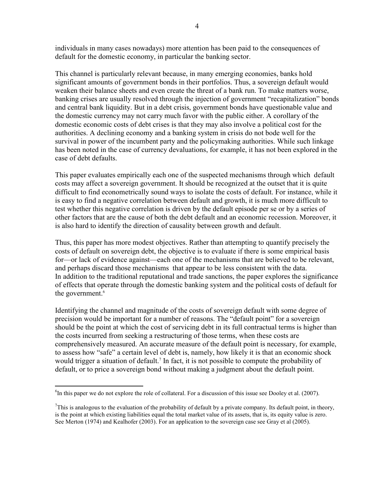individuals in many cases nowadays) more attention has been paid to the consequences of default for the domestic economy, in particular the banking sector.

This channel is particularly relevant because, in many emerging economies, banks hold significant amounts of government bonds in their portfolios. Thus, a sovereign default would weaken their balance sheets and even create the threat of a bank run. To make matters worse, banking crises are usually resolved through the injection of government "recapitalization" bonds and central bank liquidity. But in a debt crisis, government bonds have questionable value and the domestic currency may not carry much favor with the public either. A corollary of the domestic economic costs of debt crises is that they may also involve a political cost for the authorities. A declining economy and a banking system in crisis do not bode well for the survival in power of the incumbent party and the policymaking authorities. While such linkage has been noted in the case of currency devaluations, for example, it has not been explored in the case of debt defaults.

This paper evaluates empirically each one of the suspected mechanisms through which default costs may affect a sovereign government. It should be recognized at the outset that it is quite difficult to find econometrically sound ways to isolate the costs of default. For instance, while it is easy to find a negative correlation between default and growth, it is much more difficult to test whether this negative correlation is driven by the default episode per se or by a series of other factors that are the cause of both the debt default and an economic recession. Moreover, it is also hard to identify the direction of causality between growth and default.

Thus, this paper has more modest objectives. Rather than attempting to quantify precisely the costs of default on sovereign debt, the objective is to evaluate if there is some empirical basis for—or lack of evidence against—each one of the mechanisms that are believed to be relevant, and perhaps discard those mechanisms that appear to be less consistent with the data. In addition to the traditional reputational and trade sanctions, the paper explores the significance of effects that operate through the domestic banking system and the political costs of default for the government.<sup>6</sup>

Identifying the channel and magnitude of the costs of sovereign default with some degree of precision would be important for a number of reasons. The "default point" for a sovereign should be the point at which the cost of servicing debt in its full contractual terms is higher than the costs incurred from seeking a restructuring of those terms, when these costs are comprehensively measured. An accurate measure of the default point is necessary, for example, to assess how "safe" a certain level of debt is, namely, how likely it is that an economic shock would trigger a situation of default.<sup>7</sup> In fact, it is not possible to compute the probability of default, or to price a sovereign bond without making a judgment about the default point.

 ${}^{6}$ In this paper we do not explore the role of collateral. For a discussion of this issue see Dooley et al. (2007).

<sup>&</sup>lt;sup>7</sup>This is analogous to the evaluation of the probability of default by a private company. Its default point, in theory, is the point at which existing liabilities equal the total market value of its assets, that is, its equity value is zero. See Merton (1974) and Kealhofer (2003). For an application to the sovereign case see Gray et al (2005).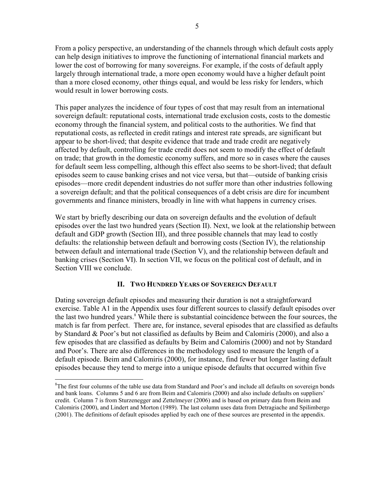From a policy perspective, an understanding of the channels through which default costs apply can help design initiatives to improve the functioning of international financial markets and lower the cost of borrowing for many sovereigns. For example, if the costs of default apply largely through international trade, a more open economy would have a higher default point than a more closed economy, other things equal, and would be less risky for lenders, which would result in lower borrowing costs.

This paper analyzes the incidence of four types of cost that may result from an international sovereign default: reputational costs, international trade exclusion costs, costs to the domestic economy through the financial system, and political costs to the authorities. We find that reputational costs, as reflected in credit ratings and interest rate spreads, are significant but appear to be short-lived; that despite evidence that trade and trade credit are negatively affected by default, controlling for trade credit does not seem to modify the effect of default on trade; that growth in the domestic economy suffers, and more so in cases where the causes for default seem less compelling, although this effect also seems to be short-lived; that default episodes seem to cause banking crises and not vice versa, but that—outside of banking crisis episodes—more credit dependent industries do not suffer more than other industries following a sovereign default; and that the political consequences of a debt crisis are dire for incumbent governments and finance ministers, broadly in line with what happens in currency crises.

We start by briefly describing our data on sovereign defaults and the evolution of default episodes over the last two hundred years (Section II). Next, we look at the relationship between default and GDP growth (Section III), and three possible channels that may lead to costly defaults: the relationship between default and borrowing costs (Section IV), the relationship between default and international trade (Section V), and the relationship between default and banking crises (Section VI). In section VII, we focus on the political cost of default, and in Section VIII we conclude.

### **II. TWO HUNDRED YEARS OF SOVEREIGN DEFAULT**

Dating sovereign default episodes and measuring their duration is not a straightforward exercise. Table A1 in the Appendix uses four different sources to classify default episodes over the last two hundred years.<sup>8</sup> While there is substantial coincidence between the four sources, the match is far from perfect. There are, for instance, several episodes that are classified as defaults by Standard & Poor's but not classified as defaults by Beim and Calomiris (2000), and also a few episodes that are classified as defaults by Beim and Calomiris (2000) and not by Standard and Poor's. There are also differences in the methodology used to measure the length of a default episode. Beim and Calomiris (2000), for instance, find fewer but longer lasting default episodes because they tend to merge into a unique episode defaults that occurred within five

<sup>&</sup>lt;sup>8</sup>The first four columns of the table use data from Standard and Poor's and include all defaults on sovereign bonds and bank loans. Columns 5 and 6 are from Beim and Calomiris (2000) and also include defaults on suppliers' credit. Column 7 is from Sturzenegger and Zettelmeyer (2006) and is based on primary data from Beim and Calomiris (2000), and Lindert and Morton (1989). The last column uses data from Detragiache and Spilimbergo (2001). The definitions of default episodes applied by each one of these sources are presented in the appendix.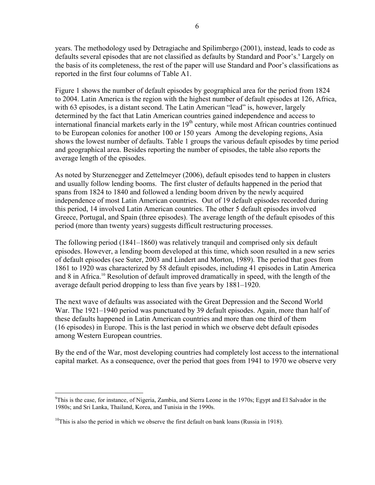years. The methodology used by Detragiache and Spilimbergo (2001), instead, leads to code as defaults several episodes that are not classified as defaults by Standard and Poor's.<sup>9</sup> Largely on the basis of its completeness, the rest of the paper will use Standard and Poor's classifications as reported in the first four columns of Table A1.

Figure 1 shows the number of default episodes by geographical area for the period from 1824 to 2004. Latin America is the region with the highest number of default episodes at 126, Africa, with 63 episodes, is a distant second. The Latin American "lead" is, however, largely determined by the fact that Latin American countries gained independence and access to international financial markets early in the  $19<sup>th</sup>$  century, while most African countries continued to be European colonies for another 100 or 150 years Among the developing regions, Asia shows the lowest number of defaults. Table 1 groups the various default episodes by time period and geographical area. Besides reporting the number of episodes, the table also reports the average length of the episodes.

As noted by Sturzenegger and Zettelmeyer (2006), default episodes tend to happen in clusters and usually follow lending booms. The first cluster of defaults happened in the period that spans from 1824 to 1840 and followed a lending boom driven by the newly acquired independence of most Latin American countries. Out of 19 default episodes recorded during this period, 14 involved Latin American countries. The other 5 default episodes involved Greece, Portugal, and Spain (three episodes). The average length of the default episodes of this period (more than twenty years) suggests difficult restructuring processes.

The following period (1841–1860) was relatively tranquil and comprised only six default episodes. However, a lending boom developed at this time, which soon resulted in a new series of default episodes (see Suter, 2003 and Lindert and Morton, 1989). The period that goes from 1861 to 1920 was characterized by 58 default episodes, including 41 episodes in Latin America and 8 in Africa.<sup>10</sup> Resolution of default improved dramatically in speed, with the length of the average default period dropping to less than five years by 1881–1920.

The next wave of defaults was associated with the Great Depression and the Second World War. The 1921–1940 period was punctuated by 39 default episodes. Again, more than half of these defaults happened in Latin American countries and more than one third of them (16 episodes) in Europe. This is the last period in which we observe debt default episodes among Western European countries.

By the end of the War, most developing countries had completely lost access to the international capital market. As a consequence, over the period that goes from 1941 to 1970 we observe very

<sup>&</sup>lt;sup>9</sup>This is the case, for instance, of Nigeria, Zambia, and Sierra Leone in the 1970s; Egypt and El Salvador in the 1980s; and Sri Lanka, Thailand, Korea, and Tunisia in the 1990s.

 $10$ This is also the period in which we observe the first default on bank loans (Russia in 1918).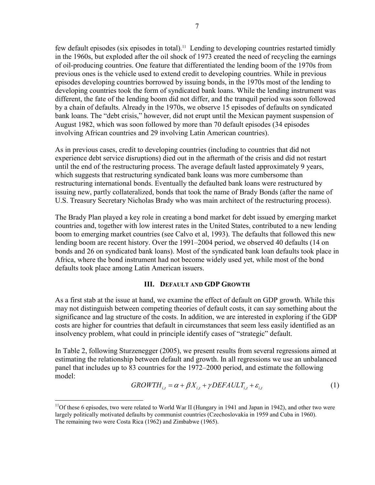few default episodes (six episodes in total).11 Lending to developing countries restarted timidly in the 1960s, but exploded after the oil shock of 1973 created the need of recycling the earnings of oil-producing countries. One feature that differentiated the lending boom of the 1970s from previous ones is the vehicle used to extend credit to developing countries. While in previous episodes developing countries borrowed by issuing bonds, in the 1970s most of the lending to developing countries took the form of syndicated bank loans. While the lending instrument was different, the fate of the lending boom did not differ, and the tranquil period was soon followed by a chain of defaults. Already in the 1970s, we observe 15 episodes of defaults on syndicated bank loans. The "debt crisis," however, did not erupt until the Mexican payment suspension of August 1982, which was soon followed by more than 70 default episodes (34 episodes involving African countries and 29 involving Latin American countries).

As in previous cases, credit to developing countries (including to countries that did not experience debt service disruptions) died out in the aftermath of the crisis and did not restart until the end of the restructuring process. The average default lasted approximately 9 years, which suggests that restructuring syndicated bank loans was more cumbersome than restructuring international bonds. Eventually the defaulted bank loans were restructured by issuing new, partly collateralized, bonds that took the name of Brady Bonds (after the name of U.S. Treasury Secretary Nicholas Brady who was main architect of the restructuring process).

The Brady Plan played a key role in creating a bond market for debt issued by emerging market countries and, together with low interest rates in the United States, contributed to a new lending boom to emerging market countries (see Calvo et al, 1993). The defaults that followed this new lending boom are recent history. Over the 1991–2004 period, we observed 40 defaults (14 on bonds and 26 on syndicated bank loans). Most of the syndicated bank loan defaults took place in Africa, where the bond instrument had not become widely used yet, while most of the bond defaults took place among Latin American issuers.

### **III. DEFAULT AND GDP GROWTH**

As a first stab at the issue at hand, we examine the effect of default on GDP growth. While this may not distinguish between competing theories of default costs, it can say something about the significance and lag structure of the costs. In addition, we are interested in exploring if the GDP costs are higher for countries that default in circumstances that seem less easily identified as an insolvency problem, what could in principle identify cases of "strategic" default.

In Table 2, following Sturzenegger (2005), we present results from several regressions aimed at estimating the relationship between default and growth. In all regressions we use an unbalanced panel that includes up to 83 countries for the 1972–2000 period, and estimate the following model:

$$
GROWTH_{i,t} = \alpha + \beta X_{i,t} + \gamma DEFAULT_{i,t} + \varepsilon_{i,t}
$$
\n<sup>(1)</sup>

<sup>&</sup>lt;sup>11</sup>Of these 6 episodes, two were related to World War II (Hungary in 1941 and Japan in 1942), and other two were largely politically motivated defaults by communist countries (Czechoslovakia in 1959 and Cuba in 1960). The remaining two were Costa Rica (1962) and Zimbabwe (1965).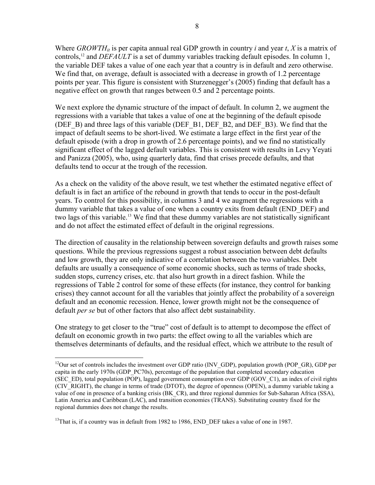Where *GROWTH<sub>it</sub>* is per capita annual real GDP growth in country *i* and year *t*, *X* is a matrix of controls,<sup>12</sup> and *DEFAULT* is a set of dummy variables tracking default episodes. In column 1, the variable DEF takes a value of one each year that a country is in default and zero otherwise. We find that, on average, default is associated with a decrease in growth of 1.2 percentage points per year. This figure is consistent with Sturzenegger's (2005) finding that default has a negative effect on growth that ranges between 0.5 and 2 percentage points.

We next explore the dynamic structure of the impact of default. In column 2, we augment the regressions with a variable that takes a value of one at the beginning of the default episode (DEF\_B) and three lags of this variable (DEF\_B1, DEF\_B2, and DEF\_B3). We find that the impact of default seems to be short-lived. We estimate a large effect in the first year of the default episode (with a drop in growth of 2.6 percentage points), and we find no statistically significant effect of the lagged default variables. This is consistent with results in Levy Yeyati and Panizza (2005), who, using quarterly data, find that crises precede defaults, and that defaults tend to occur at the trough of the recession.

As a check on the validity of the above result, we test whether the estimated negative effect of default is in fact an artifice of the rebound in growth that tends to occur in the post-default years. To control for this possibility, in columns 3 and 4 we augment the regressions with a dummy variable that takes a value of one when a country exits from default (END\_DEF) and two lags of this variable.13 We find that these dummy variables are not statistically significant and do not affect the estimated effect of default in the original regressions.

The direction of causality in the relationship between sovereign defaults and growth raises some questions. While the previous regressions suggest a robust association between debt defaults and low growth, they are only indicative of a correlation between the two variables. Debt defaults are usually a consequence of some economic shocks, such as terms of trade shocks, sudden stops, currency crises, etc. that also hurt growth in a direct fashion. While the regressions of Table 2 control for some of these effects (for instance, they control for banking crises) they cannot account for all the variables that jointly affect the probability of a sovereign default and an economic recession. Hence, lower growth might not be the consequence of default *per se* but of other factors that also affect debt sustainability.

One strategy to get closer to the "true" cost of default is to attempt to decompose the effect of default on economic growth in two parts: the effect owing to all the variables which are themselves determinants of defaults, and the residual effect, which we attribute to the result of

<sup>&</sup>lt;sup>12</sup>Our set of controls includes the investment over GDP ratio (INV\_GDP), population growth (POP\_GR), GDP per capita in the early 1970s (GDP\_PC70s), percentage of the population that completed secondary education (SEC\_ED), total population (POP), lagged government consumption over GDP (GOV\_C1), an index of civil rights (CIV\_RIGHT), the change in terms of trade (DTOT), the degree of openness (OPEN), a dummy variable taking a value of one in presence of a banking crisis (BK\_CR), and three regional dummies for Sub-Saharan Africa (SSA), Latin America and Caribbean (LAC), and transition economies (TRANS). Substituting country fixed for the regional dummies does not change the results.

 $13$ That is, if a country was in default from 1982 to 1986, END DEF takes a value of one in 1987.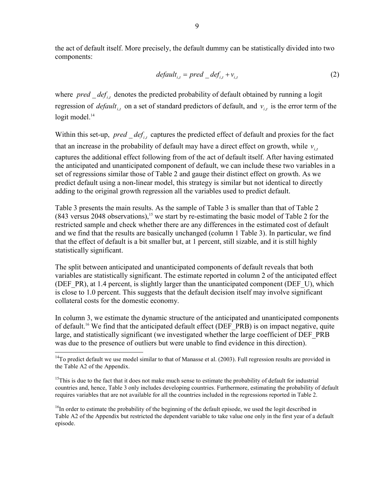the act of default itself. More precisely, the default dummy can be statistically divided into two components:

$$
default_{i,t} = pred\_def_{i,t} + v_{i,t}
$$
\n<sup>(2)</sup>

where  $pred\_def_{i,t}$  denotes the predicted probability of default obtained by running a logit regression of *default*<sub>i,t</sub> on a set of standard predictors of default, and  $v_{i,t}$  is the error term of the logit model. $14$ 

Within this set-up, *pred*  $def_i$ , captures the predicted effect of default and proxies for the fact that an increase in the probability of default may have a direct effect on growth, while  $v_{i,t}$ captures the additional effect following from of the act of default itself. After having estimated the anticipated and unanticipated component of default, we can include these two variables in a set of regressions similar those of Table 2 and gauge their distinct effect on growth. As we predict default using a non-linear model, this strategy is similar but not identical to directly adding to the original growth regression all the variables used to predict default.

Table 3 presents the main results. As the sample of Table 3 is smaller than that of Table 2  $(843 \text{ versus } 2048 \text{ observations})$ ,<sup>15</sup> we start by re-estimating the basic model of Table 2 for the restricted sample and check whether there are any differences in the estimated cost of default and we find that the results are basically unchanged (column 1 Table 3). In particular, we find that the effect of default is a bit smaller but, at 1 percent, still sizable, and it is still highly statistically significant.

The split between anticipated and unanticipated components of default reveals that both variables are statistically significant. The estimate reported in column 2 of the anticipated effect (DEF\_PR), at 1.4 percent, is slightly larger than the unanticipated component (DEF\_U), which is close to 1.0 percent. This suggests that the default decision itself may involve significant collateral costs for the domestic economy.

In column 3, we estimate the dynamic structure of the anticipated and unanticipated components of default.<sup>16</sup> We find that the anticipated default effect (DEF\_PRB) is on impact negative, quite large, and statistically significant (we investigated whether the large coefficient of DEF\_PRB was due to the presence of outliers but were unable to find evidence in this direction).

 $14$ To predict default we use model similar to that of Manasse et al. (2003). Full regression results are provided in the Table A2 of the Appendix.

 $15$ This is due to the fact that it does not make much sense to estimate the probability of default for industrial countries and, hence, Table 3 only includes developing countries. Furthermore, estimating the probability of default requires variables that are not available for all the countries included in the regressions reported in Table 2.

<sup>&</sup>lt;sup>16</sup>In order to estimate the probability of the beginning of the default episode, we used the logit described in Table A2 of the Appendix but restricted the dependent variable to take value one only in the first year of a default episode.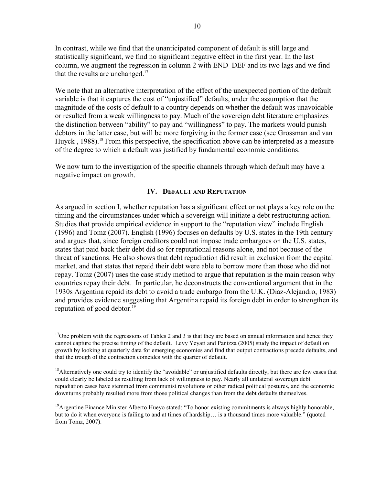In contrast, while we find that the unanticipated component of default is still large and statistically significant, we find no significant negative effect in the first year. In the last column, we augment the regression in column 2 with END\_DEF and its two lags and we find that the results are unchanged.<sup>17</sup>

We note that an alternative interpretation of the effect of the unexpected portion of the default variable is that it captures the cost of "unjustified" defaults, under the assumption that the magnitude of the costs of default to a country depends on whether the default was unavoidable or resulted from a weak willingness to pay. Much of the sovereign debt literature emphasizes the distinction between "ability" to pay and "willingness" to pay. The markets would punish debtors in the latter case, but will be more forgiving in the former case (see Grossman and van Huyck, 1988).<sup>18</sup> From this perspective, the specification above can be interpreted as a measure of the degree to which a default was justified by fundamental economic conditions.

We now turn to the investigation of the specific channels through which default may have a negative impact on growth.

### **IV. DEFAULT AND REPUTATION**

As argued in section I, whether reputation has a significant effect or not plays a key role on the timing and the circumstances under which a sovereign will initiate a debt restructuring action. Studies that provide empirical evidence in support to the "reputation view" include English (1996) and Tomz (2007). English (1996) focuses on defaults by U.S. states in the 19th century and argues that, since foreign creditors could not impose trade embargoes on the U.S. states, states that paid back their debt did so for reputational reasons alone, and not because of the threat of sanctions. He also shows that debt repudiation did result in exclusion from the capital market, and that states that repaid their debt were able to borrow more than those who did not repay. Tomz (2007) uses the case study method to argue that reputation is the main reason why countries repay their debt. In particular, he deconstructs the conventional argument that in the 1930s Argentina repaid its debt to avoid a trade embargo from the U.K. (Diaz-Alejandro, 1983) and provides evidence suggesting that Argentina repaid its foreign debt in order to strengthen its reputation of good debtor.<sup>19</sup>

<sup>&</sup>lt;sup>17</sup>One problem with the regressions of Tables 2 and 3 is that they are based on annual information and hence they cannot capture the precise timing of the default. Levy Yeyati and Panizza (2005) study the impact of default on growth by looking at quarterly data for emerging economies and find that output contractions precede defaults, and that the trough of the contraction coincides with the quarter of default.

 $<sup>18</sup>$ Alternatively one could try to identify the "avoidable" or unjustified defaults directly, but there are few cases that</sup> could clearly be labeled as resulting from lack of willingness to pay. Nearly all unilateral sovereign debt repudiation cases have stemmed from communist revolutions or other radical political postures, and the economic downturns probably resulted more from those political changes than from the debt defaults themselves.

<sup>&</sup>lt;sup>19</sup>Argentine Finance Minister Alberto Hueyo stated: "To honor existing commitments is always highly honorable, but to do it when everyone is failing to and at times of hardship… is a thousand times more valuable." (quoted from Tomz, 2007).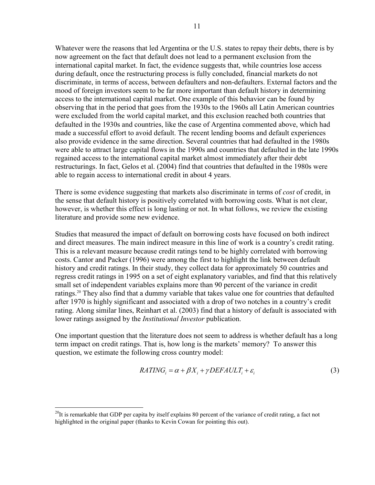Whatever were the reasons that led Argentina or the U.S. states to repay their debts, there is by now agreement on the fact that default does not lead to a permanent exclusion from the international capital market. In fact, the evidence suggests that, while countries lose access during default, once the restructuring process is fully concluded, financial markets do not discriminate, in terms of access, between defaulters and non-defaulters. External factors and the mood of foreign investors seem to be far more important than default history in determining access to the international capital market. One example of this behavior can be found by observing that in the period that goes from the 1930s to the 1960s all Latin American countries were excluded from the world capital market, and this exclusion reached both countries that defaulted in the 1930s and countries, like the case of Argentina commented above, which had made a successful effort to avoid default. The recent lending booms and default experiences also provide evidence in the same direction. Several countries that had defaulted in the 1980s were able to attract large capital flows in the 1990s and countries that defaulted in the late 1990s regained access to the international capital market almost immediately after their debt restructurings. In fact, Gelos et al. (2004) find that countries that defaulted in the 1980s were able to regain access to international credit in about 4 years.

There is some evidence suggesting that markets also discriminate in terms of *cost* of credit, in the sense that default history is positively correlated with borrowing costs. What is not clear, however, is whether this effect is long lasting or not. In what follows, we review the existing literature and provide some new evidence.

Studies that measured the impact of default on borrowing costs have focused on both indirect and direct measures. The main indirect measure in this line of work is a country's credit rating. This is a relevant measure because credit ratings tend to be highly correlated with borrowing costs. Cantor and Packer (1996) were among the first to highlight the link between default history and credit ratings. In their study, they collect data for approximately 50 countries and regress credit ratings in 1995 on a set of eight explanatory variables, and find that this relatively small set of independent variables explains more than 90 percent of the variance in credit ratings.<sup>20</sup> They also find that a dummy variable that takes value one for countries that defaulted after 1970 is highly significant and associated with a drop of two notches in a country's credit rating. Along similar lines, Reinhart et al. (2003) find that a history of default is associated with lower ratings assigned by the *Institutional Investor* publication.

One important question that the literature does not seem to address is whether default has a long term impact on credit ratings. That is, how long is the markets' memory? To answer this question, we estimate the following cross country model:

$$
RATING_i = \alpha + \beta X_i + \gamma DEFAULT_i + \varepsilon_i \tag{3}
$$

 $^{20}$ It is remarkable that GDP per capita by itself explains 80 percent of the variance of credit rating, a fact not highlighted in the original paper (thanks to Kevin Cowan for pointing this out).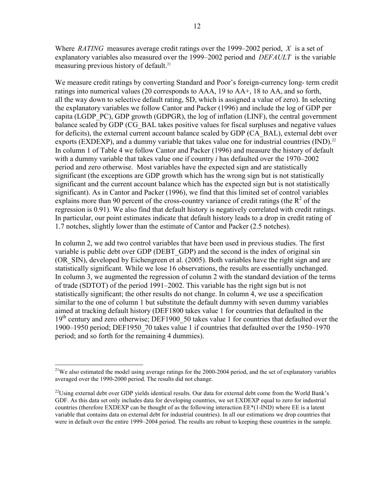Where *RATING* measures average credit ratings over the 1999–2002 period, *X* is a set of explanatory variables also measured over the 1999–2002 period and *DEFAULT* is the variable measuring previous history of default.<sup>21</sup>

We measure credit ratings by converting Standard and Poor's foreign-currency long- term credit ratings into numerical values (20 corresponds to AAA, 19 to AA+, 18 to AA, and so forth, all the way down to selective default rating, SD, which is assigned a value of zero). In selecting the explanatory variables we follow Cantor and Packer (1996) and include the log of GDP per capita (LGDP\_PC), GDP growth (GDPGR), the log of inflation (LINF), the central government balance scaled by GDP (CG\_BAL takes positive values for fiscal surpluses and negative values for deficits), the external current account balance scaled by GDP (CA\_BAL), external debt over exports (EXDEXP), and a dummy variable that takes value one for industrial countries (IND).<sup>22</sup> In column 1 of Table 4 we follow Cantor and Packer (1996) and measure the history of default with a dummy variable that takes value one if country *i* has defaulted over the 1970–2002 period and zero otherwise. Most variables have the expected sign and are statistically significant (the exceptions are GDP growth which has the wrong sign but is not statistically significant and the current account balance which has the expected sign but is not statistically significant). As in Cantor and Packer (1996), we find that this limited set of control variables explains more than 90 percent of the cross-country variance of credit ratings (the  $R^2$  of the regression is 0.91). We also find that default history is negatively correlated with credit ratings. In particular, our point estimates indicate that default history leads to a drop in credit rating of 1.7 notches, slightly lower than the estimate of Cantor and Packer (2.5 notches).

In column 2, we add two control variables that have been used in previous studies. The first variable is public debt over GDP (DEBT\_GDP) and the second is the index of original sin (OR\_SIN), developed by Eichengreen et al. (2005). Both variables have the right sign and are statistically significant. While we lose 16 observations, the results are essentially unchanged. In column 3, we augmented the regression of column 2 with the standard deviation of the terms of trade (SDTOT) of the period 1991–2002. This variable has the right sign but is not statistically significant; the other results do not change. In column 4, we use a specification similar to the one of column 1 but substitute the default dummy with seven dummy variables aimed at tracking default history (DEF1800 takes value 1 for countries that defaulted in the 19<sup>th</sup> century and zero otherwise; DEF1900 50 takes value 1 for countries that defaulted over the 1900–1950 period; DEF1950\_70 takes value 1 if countries that defaulted over the 1950–1970 period; and so forth for the remaining 4 dummies).

1

<sup>&</sup>lt;sup>21</sup>We also estimated the model using average ratings for the  $2000-2004$  period, and the set of explanatory variables averaged over the 1990-2000 period. The results did not change.

 $^{22}$ Using external debt over GDP yields identical results. Our data for external debt come from the World Bank's GDF. As this data set only includes data for developing countries, we set EXDEXP equal to zero for industrial countries (therefore EXDEXP can be thought of as the following interaction EE\*(1-IND) where EE is a latent variable that contains data on external debt for industrial countries). In all our estimations we drop countries that were in default over the entire 1999–2004 period. The results are robust to keeping these countries in the sample.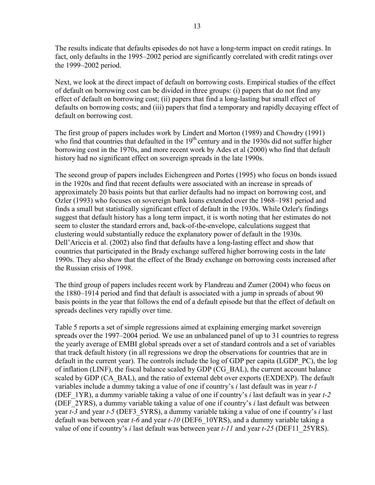The results indicate that defaults episodes do not have a long-term impact on credit ratings. In fact, only defaults in the 1995–2002 period are significantly correlated with credit ratings over the 1999–2002 period.

Next, we look at the direct impact of default on borrowing costs. Empirical studies of the effect of default on borrowing cost can be divided in three groups: (i) papers that do not find any effect of default on borrowing cost; (ii) papers that find a long-lasting but small effect of defaults on borrowing costs; and (iii) papers that find a temporary and rapidly decaying effect of default on borrowing cost.

The first group of papers includes work by Lindert and Morton (1989) and Chowdry (1991) who find that countries that defaulted in the  $19<sup>th</sup>$  century and in the 1930s did not suffer higher borrowing cost in the 1970s, and more recent work by Ades et al (2000) who find that default history had no significant effect on sovereign spreads in the late 1990s.

The second group of papers includes Eichengreen and Portes (1995) who focus on bonds issued in the 1920s and find that recent defaults were associated with an increase in spreads of approximately 20 basis points but that earlier defaults had no impact on borrowing cost, and Ozler (1993) who focuses on sovereign bank loans extended over the 1968–1981 period and finds a small but statistically significant effect of default in the 1930s. While Ozler's findings suggest that default history has a long term impact, it is worth noting that her estimates do not seem to cluster the standard errors and, back-of-the-envelope, calculations suggest that clustering would substantially reduce the explanatory power of default in the 1930s. Dell'Ariccia et al. (2002) also find that defaults have a long-lasting effect and show that countries that participated in the Brady exchange suffered higher borrowing costs in the late 1990s. They also show that the effect of the Brady exchange on borrowing costs increased after the Russian crisis of 1998.

The third group of papers includes recent work by Flandreau and Zumer (2004) who focus on the 1880–1914 period and find that default is associated with a jump in spreads of about 90 basis points in the year that follows the end of a default episode but that the effect of default on spreads declines very rapidly over time.

Table 5 reports a set of simple regressions aimed at explaining emerging market sovereign spreads over the 1997–2004 period. We use an unbalanced panel of up to 31 countries to regress the yearly average of EMBI global spreads over a set of standard controls and a set of variables that track default history (in all regressions we drop the observations for countries that are in default in the current year). The controls include the log of GDP per capita (LGDP\_PC), the log of inflation (LINF), the fiscal balance scaled by GDP (CG\_BAL), the current account balance scaled by GDP (CA\_BAL), and the ratio of external debt over exports (EXDEXP). The default variables include a dummy taking a value of one if country's *i* last default was in year *t-1* (DEF\_1YR), a dummy variable taking a value of one if country's *i* last default was in year *t-2* (DEF\_2YRS), a dummy variable taking a value of one if country's *i* last default was between year *t-3* and year *t-5* (DEF3\_5YRS), a dummy variable taking a value of one if country's *i* last default was between year *t-6* and year *t-10* (DEF6\_10YRS), and a dummy variable taking a value of one if country's *i* last default was between year *t-11* and year *t-25* (DEF11\_25YRS).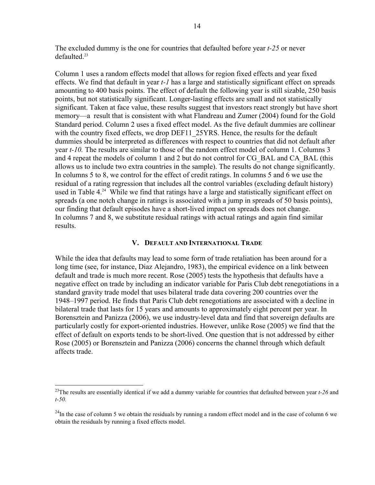The excluded dummy is the one for countries that defaulted before year *t-25* or never  $defaulted<sup>23</sup>$ 

Column 1 uses a random effects model that allows for region fixed effects and year fixed effects. We find that default in year *t-1* has a large and statistically significant effect on spreads amounting to 400 basis points. The effect of default the following year is still sizable, 250 basis points, but not statistically significant. Longer-lasting effects are small and not statistically significant. Taken at face value, these results suggest that investors react strongly but have short memory—a result that is consistent with what Flandreau and Zumer (2004) found for the Gold Standard period. Column 2 uses a fixed effect model. As the five default dummies are collinear with the country fixed effects, we drop DEF11\_25YRS. Hence, the results for the default dummies should be interpreted as differences with respect to countries that did not default after year *t-10.* The results are similar to those of the random effect model of column 1. Columns 3 and 4 repeat the models of column 1 and 2 but do not control for CG\_BAL and CA\_BAL (this allows us to include two extra countries in the sample). The results do not change significantly. In columns 5 to 8, we control for the effect of credit ratings. In columns 5 and 6 we use the residual of a rating regression that includes all the control variables (excluding default history) used in Table 4.<sup>24</sup> While we find that ratings have a large and statistically significant effect on spreads (a one notch change in ratings is associated with a jump in spreads of 50 basis points), our finding that default episodes have a short-lived impact on spreads does not change. In columns 7 and 8, we substitute residual ratings with actual ratings and again find similar results.

### **V. DEFAULT AND INTERNATIONAL TRADE**

While the idea that defaults may lead to some form of trade retaliation has been around for a long time (see, for instance, Diaz Alejandro, 1983), the empirical evidence on a link between default and trade is much more recent. Rose (2005) tests the hypothesis that defaults have a negative effect on trade by including an indicator variable for Paris Club debt renegotiations in a standard gravity trade model that uses bilateral trade data covering 200 countries over the 1948–1997 period. He finds that Paris Club debt renegotiations are associated with a decline in bilateral trade that lasts for 15 years and amounts to approximately eight percent per year. In Borensztein and Panizza (2006), we use industry-level data and find that sovereign defaults are particularly costly for export-oriented industries. However, unlike Rose (2005) we find that the effect of default on exports tends to be short-lived. One question that is not addressed by either Rose (2005) or Borensztein and Panizza (2006) concerns the channel through which default affects trade.

<sup>&</sup>lt;sup>23</sup>The results are essentially identical if we add a dummy variable for countries that defaulted between year *t*-26 and *t-50.*

 $^{24}$ In the case of column 5 we obtain the residuals by running a random effect model and in the case of column 6 we obtain the residuals by running a fixed effects model.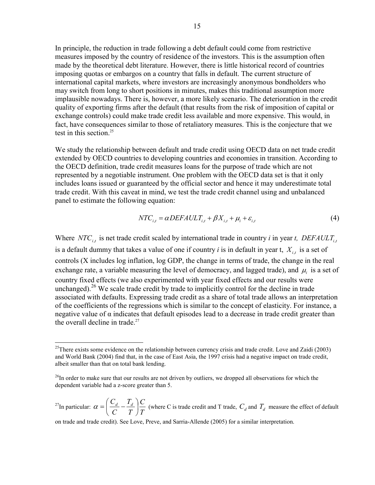In principle, the reduction in trade following a debt default could come from restrictive measures imposed by the country of residence of the investors. This is the assumption often made by the theoretical debt literature. However, there is little historical record of countries imposing quotas or embargos on a country that falls in default. The current structure of international capital markets, where investors are increasingly anonymous bondholders who may switch from long to short positions in minutes, makes this traditional assumption more implausible nowadays. There is, however, a more likely scenario. The deterioration in the credit quality of exporting firms after the default (that results from the risk of imposition of capital or exchange controls) could make trade credit less available and more expensive. This would, in fact, have consequences similar to those of retaliatory measures. This is the conjecture that we test in this section.<sup>25</sup>

We study the relationship between default and trade credit using OECD data on net trade credit extended by OECD countries to developing countries and economies in transition. According to the OECD definition, trade credit measures loans for the purpose of trade which are not represented by a negotiable instrument. One problem with the OECD data set is that it only includes loans issued or guaranteed by the official sector and hence it may underestimate total trade credit. With this caveat in mind, we test the trade credit channel using and unbalanced panel to estimate the following equation:

$$
NTC_{i,t} = \alpha DEFAULT_{i,t} + \beta X_{i,t} + \mu_i + \varepsilon_{i,t}
$$
\n<sup>(4)</sup>

Where  $NTC_{i,t}$  is net trade credit scaled by international trade in country *i* in year *t*, DEFAULT<sub>it</sub> is a default dummy that takes a value of one if country *i* is in default in year t,  $X_{i}$ , is a set of controls (X includes log inflation, log GDP, the change in terms of trade, the change in the real exchange rate, a variable measuring the level of democracy, and lagged trade), and  $\mu_i$  is a set of country fixed effects (we also experimented with year fixed effects and our results were unchanged).<sup>26</sup> We scale trade credit by trade to implicitly control for the decline in trade associated with defaults. Expressing trade credit as a share of total trade allows an interpretation of the coefficients of the regressions which is similar to the concept of elasticity. For instance, a negative value of  $\alpha$  indicates that default episodes lead to a decrease in trade credit greater than the overall decline in trade. $27$ 

<sup>27</sup>In particular:  $\alpha = \left(\frac{C_d}{C} - \frac{T_d}{T}\right) \frac{C}{T}$ *T T C*  $\left(\frac{C_d}{C} - \frac{T_d}{T}\right)$ ⎠  $\left(\frac{C_d}{C} - \frac{T_d}{T}\right)$ ⎝  $\alpha = \left(\frac{C_d}{C} - \frac{T_d}{T}\right) \frac{C}{T}$  (where C is trade credit and T trade,  $C_d$  and  $T_d$  measure the effect of default

on trade and trade credit). See Love, Preve, and Sarria-Allende (2005) for a similar interpretation.

<sup>&</sup>lt;sup>25</sup>There exists some evidence on the relationship between currency crisis and trade credit. Love and Zaidi (2003) and World Bank (2004) find that, in the case of East Asia, the 1997 crisis had a negative impact on trade credit, albeit smaller than that on total bank lending.

<sup>&</sup>lt;sup>26</sup>In order to make sure that our results are not driven by outliers, we dropped all observations for which the dependent variable had a z-score greater than 5.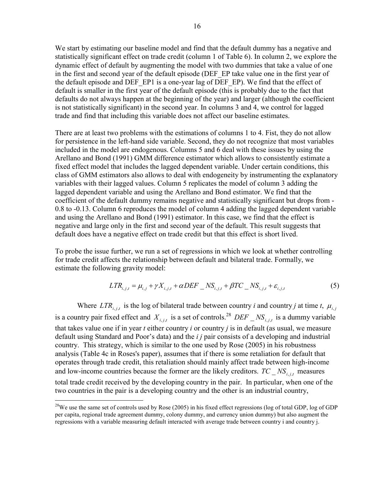We start by estimating our baseline model and find that the default dummy has a negative and statistically significant effect on trade credit (column 1 of Table 6). In column 2, we explore the dynamic effect of default by augmenting the model with two dummies that take a value of one in the first and second year of the default episode (DEF EP take value one in the first year of the default episode and DEF\_EP1 is a one-year lag of DEF\_EP). We find that the effect of default is smaller in the first year of the default episode (this is probably due to the fact that defaults do not always happen at the beginning of the year) and larger (although the coefficient is not statistically significant) in the second year. In columns 3 and 4, we control for lagged trade and find that including this variable does not affect our baseline estimates.

There are at least two problems with the estimations of columns 1 to 4. Fist, they do not allow for persistence in the left-hand side variable. Second, they do not recognize that most variables included in the model are endogenous. Columns 5 and 6 deal with these issues by using the Arellano and Bond (1991) GMM difference estimator which allows to consistently estimate a fixed effect model that includes the lagged dependent variable. Under certain conditions, this class of GMM estimators also allows to deal with endogeneity by instrumenting the explanatory variables with their lagged values. Column 5 replicates the model of column 3 adding the lagged dependent variable and using the Arellano and Bond estimator. We find that the coefficient of the default dummy remains negative and statistically significant but drops from - 0.8 to -0.13. Column 6 reproduces the model of column 4 adding the lagged dependent variable and using the Arellano and Bond (1991) estimator. In this case, we find that the effect is negative and large only in the first and second year of the default. This result suggests that default does have a negative effect on trade credit but that this effect is short lived.

To probe the issue further, we run a set of regressions in which we look at whether controlling for trade credit affects the relationship between default and bilateral trade. Formally, we estimate the following gravity model:

$$
LTR_{i,j,t} = \mu_{i,j} + \gamma X_{i,j,t} + \alpha DEF \cdot \text{NS}_{i,j,t} + \beta TC \cdot \text{NS}_{i,j,t} + \varepsilon_{i,j,t}
$$
(5)

Where  $LTR_{i,j}$  is the log of bilateral trade between country *i* and country *j* at time *t*,  $\mu_{i,j}$ is a country pair fixed effect and  $X_{i,i}$  is a set of controls.<sup>28</sup> *DEF*  $\_\, NS_{i,i}$  is a dummy variable that takes value one if in year *t* either country *i* or country *j* is in default (as usual, we measure default using Standard and Poor's data) and the *i j* pair consists of a developing and industrial country. This strategy, which is similar to the one used by Rose (2005) in his robustness analysis (Table 4c in Roses's paper), assumes that if there is some retaliation for default that operates through trade credit, this retaliation should mainly affect trade between high-income and low-income countries because the former are the likely creditors.  $TC \_NS_{i,j,t}$  measures total trade credit received by the developing country in the pair. In particular, when one of the two countries in the pair is a developing country and the other is an industrial country,

 $^{28}$ We use the same set of controls used by Rose (2005) in his fixed effect regressions (log of total GDP, log of GDP per capita, regional trade agreement dummy, colony dummy, and currency union dummy) but also augment the regressions with a variable measuring default interacted with average trade between country i and country j.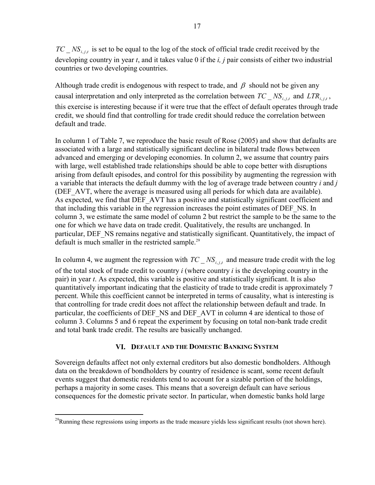$TC$ <sub>, *NS<sub>i</sub>* is set to be equal to the log of the stock of official trade credit received by the</sub> developing country in year *t*, and it takes value 0 if the *i, j* pair consists of either two industrial countries or two developing countries.

Although trade credit is endogenous with respect to trade, and  $\beta$  should not be given any causal interpretation and only interpreted as the correlation between  $TC$ <sub> $N$ S<sub>*i,jt*</sub></sub> and  $LTR$ <sub>*i,jt*</sub>, this exercise is interesting because if it were true that the effect of default operates through trade

credit, we should find that controlling for trade credit should reduce the correlation between default and trade.

In column 1 of Table 7, we reproduce the basic result of Rose (2005) and show that defaults are associated with a large and statistically significant decline in bilateral trade flows between advanced and emerging or developing economies. In column 2, we assume that country pairs with large, well established trade relationships should be able to cope better with disruptions arising from default episodes, and control for this possibility by augmenting the regression with a variable that interacts the default dummy with the log of average trade between country *i* and *j* (DEF\_AVT, where the average is measured using all periods for which data are available). As expected, we find that DEF\_AVT has a positive and statistically significant coefficient and that including this variable in the regression increases the point estimates of DEF\_NS. In column 3, we estimate the same model of column 2 but restrict the sample to be the same to the one for which we have data on trade credit. Qualitatively, the results are unchanged. In particular, DEF\_NS remains negative and statistically significant. Quantitatively, the impact of default is much smaller in the restricted sample.<sup>29</sup>

In column 4, we augment the regression with  $TC$   $NS$ <sub>i, *i*,*t*</sub> and measure trade credit with the log of the total stock of trade credit to country *i* (where country *i* is the developing country in the pair) in year *t*. As expected, this variable is positive and statistically significant. It is also quantitatively important indicating that the elasticity of trade to trade credit is approximately 7 percent. While this coefficient cannot be interpreted in terms of causality, what is interesting is that controlling for trade credit does not affect the relationship between default and trade. In particular, the coefficients of DEF\_NS and DEF\_AVT in column 4 are identical to those of column 3. Columns 5 and 6 repeat the experiment by focusing on total non-bank trade credit and total bank trade credit. The results are basically unchanged.

### **VI. DEFAULT AND THE DOMESTIC BANKING SYSTEM**

Sovereign defaults affect not only external creditors but also domestic bondholders. Although data on the breakdown of bondholders by country of residence is scant, some recent default events suggest that domestic residents tend to account for a sizable portion of the holdings, perhaps a majority in some cases. This means that a sovereign default can have serious consequences for the domestic private sector. In particular, when domestic banks hold large

 $^{29}$ Running these regressions using imports as the trade measure yields less significant results (not shown here).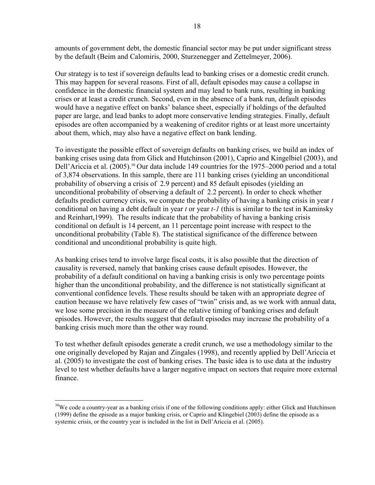amounts of government debt, the domestic financial sector may be put under significant stress by the default (Beim and Calomiris, 2000, Sturzenegger and Zettelmeyer, 2006).

Our strategy is to test if sovereign defaults lead to banking crises or a domestic credit crunch. This may happen for several reasons. First of all, default episodes may cause a collapse in confidence in the domestic financial system and may lead to bank runs, resulting in banking crises or at least a credit crunch. Second, even in the absence of a bank run, default episodes would have a negative effect on banks' balance sheet, especially if holdings of the defaulted paper are large, and lead banks to adopt more conservative lending strategies. Finally, default episodes are often accompanied by a weakening of creditor rights or at least more uncertainty about them, which, may also have a negative effect on bank lending.

To investigate the possible effect of sovereign defaults on banking crises, we build an index of banking crises using data from Glick and Hutchinson (2001), Caprio and Kingelbiel (2003), and Dell'Ariccia et al. (2005).<sup>30</sup> Our data include 149 countries for the 1975–2000 period and a total of 3,874 observations. In this sample, there are 111 banking crises (yielding an unconditional probability of observing a crisis of 2.9 percent) and 85 default episodes (yielding an unconditional probability of observing a default of 2.2 percent). In order to check whether defaults predict currency crisis, we compute the probability of having a banking crisis in year *t* conditional on having a debt default in year *t* or year *t-1* (this is similar to the test in Kaminsky and Reinhart,1999). The results indicate that the probability of having a banking crisis conditional on default is 14 percent, an 11 percentage point increase with respect to the unconditional probability (Table 8). The statistical significance of the difference between conditional and unconditional probability is quite high.

As banking crises tend to involve large fiscal costs, it is also possible that the direction of causality is reversed, namely that banking crises cause default episodes. However, the probability of a default conditional on having a banking crisis is only two percentage points higher than the unconditional probability, and the difference is not statistically significant at conventional confidence levels. These results should be taken with an appropriate degree of caution because we have relatively few cases of "twin" crisis and, as we work with annual data, we lose some precision in the measure of the relative timing of banking crises and default episodes. However, the results suggest that default episodes may increase the probability of a banking crisis much more than the other way round.

To test whether default episodes generate a credit crunch, we use a methodology similar to the one originally developed by Rajan and Zingales (1998), and recently applied by Dell'Ariccia et al. (2005) to investigate the cost of banking crises. The basic idea is to use data at the industry level to test whether defaults have a larger negative impact on sectors that require more external finance.

<sup>&</sup>lt;sup>30</sup>We code a country-year as a banking crisis if one of the following conditions apply: either Glick and Hutchinson (1999) define the episode as a major banking crisis, or Caprio and Klingebiel (2003) define the episode as a systemic crisis, or the country year is included in the list in Dell'Ariccia et al. (2005).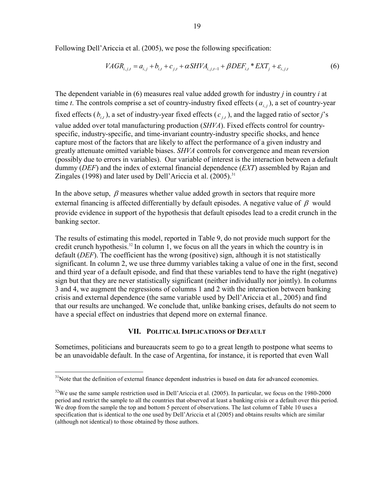Following Dell'Ariccia et al. (2005), we pose the following specification:

$$
VAGR_{i,j,t} = a_{i,j} + b_{i,t} + c_{j,t} + \alpha SHVA_{i,j,t-1} + \beta DEF_{i,t} * EXT_j + \varepsilon_{i,j,t}
$$
(6)

The dependent variable in (6) measures real value added growth for industry *j* in country *i* at time *t*. The controls comprise a set of country-industry fixed effects  $(a_{i,j})$ , a set of country-year fixed effects  $(b_{i,t})$ , a set of industry-year fixed effects  $(c_{i,t})$ , and the lagged ratio of sector *j*'s value added over total manufacturing production (*SHVA*). Fixed effects control for countryspecific, industry-specific, and time-invariant country-industry specific shocks, and hence capture most of the factors that are likely to affect the performance of a given industry and greatly attenuate omitted variable biases. *SHVA* controls for convergence and mean reversion (possibly due to errors in variables). Our variable of interest is the interaction between a default dummy (*DEF*) and the index of external financial dependence (*EXT*) assembled by Rajan and Zingales (1998) and later used by Dell'Ariccia et al.  $(2005)^{31}$ 

In the above setup,  $\beta$  measures whether value added growth in sectors that require more external financing is affected differentially by default episodes. A negative value of  $\beta$  would provide evidence in support of the hypothesis that default episodes lead to a credit crunch in the banking sector.

The results of estimating this model, reported in Table 9, do not provide much support for the credit crunch hypothesis.<sup>32</sup> In column 1, we focus on all the years in which the country is in default (*DEF*). The coefficient has the wrong (positive) sign, although it is not statistically significant. In column 2, we use three dummy variables taking a value of one in the first, second and third year of a default episode, and find that these variables tend to have the right (negative) sign but that they are never statistically significant (neither individually nor jointly). In columns 3 and 4, we augment the regressions of columns 1 and 2 with the interaction between banking crisis and external dependence (the same variable used by Dell'Ariccia et al., 2005) and find that our results are unchanged. We conclude that, unlike banking crises, defaults do not seem to have a special effect on industries that depend more on external finance.

### **VII. POLITICAL IMPLICATIONS OF DEFAULT**

Sometimes, politicians and bureaucrats seem to go to a great length to postpone what seems to be an unavoidable default. In the case of Argentina, for instance, it is reported that even Wall

<sup>&</sup>lt;sup>31</sup>Note that the definition of external finance dependent industries is based on data for advanced economies.

<sup>&</sup>lt;sup>32</sup>We use the same sample restriction used in Dell'Ariccia et al. (2005). In particular, we focus on the 1980-2000 period and restrict the sample to all the countries that observed at least a banking crisis or a default over this period. We drop from the sample the top and bottom 5 percent of observations. The last column of Table 10 uses a specification that is identical to the one used by Dell'Ariccia et al (2005) and obtains results which are similar (although not identical) to those obtained by those authors.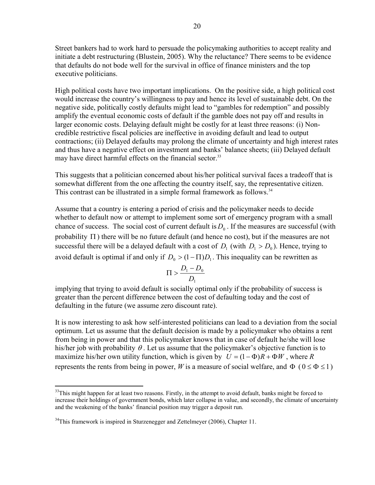Street bankers had to work hard to persuade the policymaking authorities to accept reality and initiate a debt restructuring (Blustein, 2005). Why the reluctance? There seems to be evidence that defaults do not bode well for the survival in office of finance ministers and the top executive politicians.

High political costs have two important implications. On the positive side, a high political cost would increase the country's willingness to pay and hence its level of sustainable debt. On the negative side, politically costly defaults might lead to "gambles for redemption" and possibly amplify the eventual economic costs of default if the gamble does not pay off and results in larger economic costs. Delaying default might be costly for at least three reasons: (i) Noncredible restrictive fiscal policies are ineffective in avoiding default and lead to output contractions; (ii) Delayed defaults may prolong the climate of uncertainty and high interest rates and thus have a negative effect on investment and banks' balance sheets; (iii) Delayed default may have direct harmful effects on the financial sector.<sup>33</sup>

This suggests that a politician concerned about his/her political survival faces a tradeoff that is somewhat different from the one affecting the country itself, say, the representative citizen. This contrast can be illustrated in a simple formal framework as follows.<sup>34</sup>

Assume that a country is entering a period of crisis and the policymaker needs to decide whether to default now or attempt to implement some sort of emergency program with a small chance of success. The social cost of current default is  $D_0$ . If the measures are successful (with probability  $\Pi$ ) there will be no future default (and hence no cost), but if the measures are not successful there will be a delayed default with a cost of  $D_1$  (with  $D_1 > D_0$ ). Hence, trying to avoid default is optimal if and only if  $D_0 > (1 - \Pi)D_1$ . This inequality can be rewritten as

$$
\Pi > \frac{D_{\mathrm{l}} - D_{\mathrm{0}}}{D_{\mathrm{l}}}
$$

implying that trying to avoid default is socially optimal only if the probability of success is greater than the percent difference between the cost of defaulting today and the cost of defaulting in the future (we assume zero discount rate).

It is now interesting to ask how self-interested politicians can lead to a deviation from the social optimum. Let us assume that the default decision is made by a policymaker who obtains a rent from being in power and that this policymaker knows that in case of default he/she will lose his/her job with probability  $\theta$ . Let us assume that the policymaker's objective function is to maximize his/her own utility function, which is given by  $U = (1 - \Phi)R + \Phi W$ , where R represents the rents from being in power, *W* is a measure of social welfare, and  $\Phi$  ( $0 \le \Phi \le 1$ )

 $\overline{a}$ <sup>33</sup>This might happen for at least two reasons. Firstly, in the attempt to avoid default, banks might be forced to increase their holdings of government bonds, which later collapse in value, and secondly, the climate of uncertainty and the weakening of the banks' financial position may trigger a deposit run.

 $34$ This framework is inspired in Sturzenegger and Zettelmeyer (2006), Chapter 11.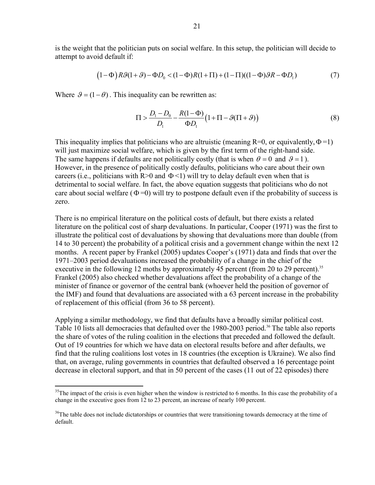is the weight that the politician puts on social welfare. In this setup, the politician will decide to attempt to avoid default if:

$$
(1 - \Phi)R\mathcal{G}(1 + \mathcal{G}) - \Phi D_0 < (1 - \Phi)R(1 + \Pi) + (1 - \Pi)((1 - \Phi)\mathcal{G}R - \Phi D_1) \tag{7}
$$

Where  $\theta = (1 - \theta)$ . This inequality can be rewritten as:

 $\overline{a}$ 

$$
\Pi > \frac{D_1 - D_0}{D_1} - \frac{R(1 - \Phi)}{\Phi D_1} \left(1 + \Pi - \mathcal{G}(\Pi + \mathcal{G})\right)
$$
\n
$$
\tag{8}
$$

This inequality implies that politicians who are altruistic (meaning  $R=0$ , or equivalently,  $\Phi=1$ ) will just maximize social welfare, which is given by the first term of the right-hand side. The same happens if defaults are not politically costly (that is when  $\theta = 0$  and  $\theta = 1$ ). However, in the presence of politically costly defaults, politicians who care about their own careers (i.e., politicians with  $R>0$  and  $\Phi<1$ ) will try to delay default even when that is detrimental to social welfare. In fact, the above equation suggests that politicians who do not care about social welfare  $(\Phi = 0)$  will try to postpone default even if the probability of success is zero.

There is no empirical literature on the political costs of default, but there exists a related literature on the political cost of sharp devaluations. In particular, Cooper (1971) was the first to illustrate the political cost of devaluations by showing that devaluations more than double (from 14 to 30 percent) the probability of a political crisis and a government change within the next 12 months. A recent paper by Frankel (2005) updates Cooper's (1971) data and finds that over the 1971–2003 period devaluations increased the probability of a change in the chief of the executive in the following 12 moths by approximately 45 percent (from 20 to 29 percent).<sup>35</sup> Frankel (2005) also checked whether devaluations affect the probability of a change of the minister of finance or governor of the central bank (whoever held the position of governor of the IMF) and found that devaluations are associated with a 63 percent increase in the probability of replacement of this official (from 36 to 58 percent).

Applying a similar methodology, we find that defaults have a broadly similar political cost. Table 10 lists all democracies that defaulted over the 1980-2003 period.<sup>36</sup> The table also reports the share of votes of the ruling coalition in the elections that preceded and followed the default. Out of 19 countries for which we have data on electoral results before and after defaults, we find that the ruling coalitions lost votes in 18 countries (the exception is Ukraine). We also find that, on average, ruling governments in countries that defaulted observed a 16 percentage point decrease in electoral support, and that in 50 percent of the cases (11 out of 22 episodes) there

 $35$ The impact of the crisis is even higher when the window is restricted to 6 months. In this case the probability of a change in the executive goes from 12 to 23 percent, an increase of nearly 100 percent.

<sup>&</sup>lt;sup>36</sup>The table does not include dictatorships or countries that were transitioning towards democracy at the time of default.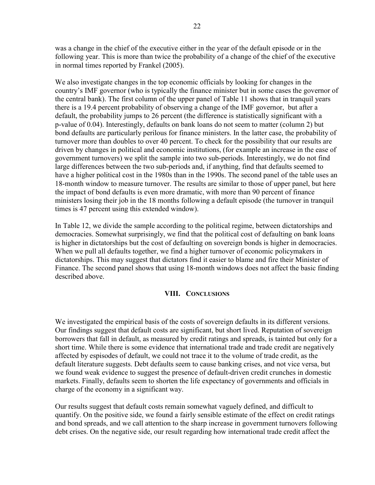was a change in the chief of the executive either in the year of the default episode or in the following year. This is more than twice the probability of a change of the chief of the executive in normal times reported by Frankel (2005).

We also investigate changes in the top economic officials by looking for changes in the country's IMF governor (who is typically the finance minister but in some cases the governor of the central bank). The first column of the upper panel of Table 11 shows that in tranquil years there is a 19.4 percent probability of observing a change of the IMF governor, but after a default, the probability jumps to 26 percent (the difference is statistically significant with a p-value of 0.04). Interestingly, defaults on bank loans do not seem to matter (column 2) but bond defaults are particularly perilous for finance ministers. In the latter case, the probability of turnover more than doubles to over 40 percent. To check for the possibility that our results are driven by changes in political and economic institutions, (for example an increase in the ease of government turnovers) we split the sample into two sub-periods. Interestingly, we do not find large differences between the two sub-periods and, if anything, find that defaults seemed to have a higher political cost in the 1980s than in the 1990s. The second panel of the table uses an 18-month window to measure turnover. The results are similar to those of upper panel, but here the impact of bond defaults is even more dramatic, with more than 90 percent of finance ministers losing their job in the 18 months following a default episode (the turnover in tranquil times is 47 percent using this extended window).

In Table 12, we divide the sample according to the political regime, between dictatorships and democracies. Somewhat surprisingly, we find that the political cost of defaulting on bank loans is higher in dictatorships but the cost of defaulting on sovereign bonds is higher in democracies. When we pull all defaults together, we find a higher turnover of economic policymakers in dictatorships. This may suggest that dictators find it easier to blame and fire their Minister of Finance. The second panel shows that using 18-month windows does not affect the basic finding described above.

### **VIII. CONCLUSIONS**

We investigated the empirical basis of the costs of sovereign defaults in its different versions. Our findings suggest that default costs are significant, but short lived. Reputation of sovereign borrowers that fall in default, as measured by credit ratings and spreads, is tainted but only for a short time. While there is some evidence that international trade and trade credit are negatively affected by espisodes of default, we could not trace it to the volume of trade credit, as the default literature suggests. Debt defaults seem to cause banking crises, and not vice versa, but we found weak evidence to suggest the presence of default-driven credit crunches in domestic markets. Finally, defaults seem to shorten the life expectancy of governments and officials in charge of the economy in a significant way.

Our results suggest that default costs remain somewhat vaguely defined, and difficult to quantify. On the positive side, we found a fairly sensible estimate of the effect on credit ratings and bond spreads, and we call attention to the sharp increase in government turnovers following debt crises. On the negative side, our result regarding how international trade credit affect the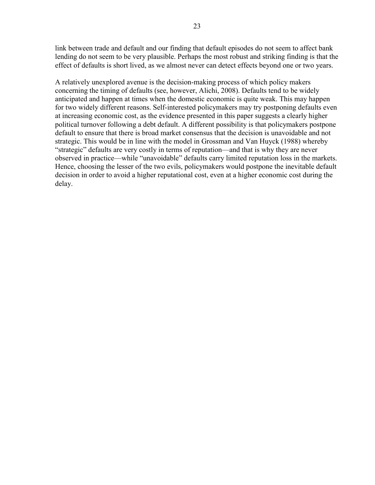link between trade and default and our finding that default episodes do not seem to affect bank lending do not seem to be very plausible. Perhaps the most robust and striking finding is that the effect of defaults is short lived, as we almost never can detect effects beyond one or two years.

A relatively unexplored avenue is the decision-making process of which policy makers concerning the timing of defaults (see, however, Alichi, 2008). Defaults tend to be widely anticipated and happen at times when the domestic economic is quite weak. This may happen for two widely different reasons. Self-interested policymakers may try postponing defaults even at increasing economic cost, as the evidence presented in this paper suggests a clearly higher political turnover following a debt default. A different possibility is that policymakers postpone default to ensure that there is broad market consensus that the decision is unavoidable and not strategic. This would be in line with the model in Grossman and Van Huyck (1988) whereby "strategic" defaults are very costly in terms of reputation—and that is why they are never observed in practice—while "unavoidable" defaults carry limited reputation loss in the markets. Hence, choosing the lesser of the two evils, policymakers would postpone the inevitable default decision in order to avoid a higher reputational cost, even at a higher economic cost during the delay.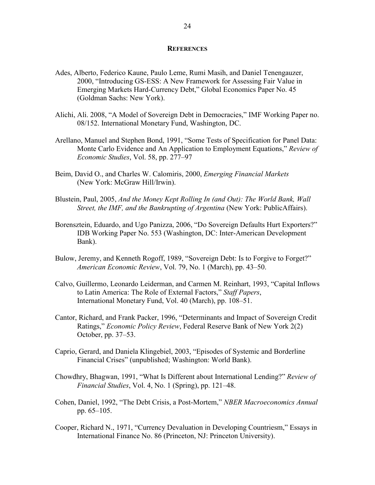### **REFERENCES**

- Ades, Alberto, Federico Kaune, Paulo Leme, Rumi Masih, and Daniel Tenengauzer, 2000, "Introducing GS-ESS: A New Framework for Assessing Fair Value in Emerging Markets Hard-Currency Debt," Global Economics Paper No. 45 (Goldman Sachs: New York).
- Alichi, Ali. 2008, "A Model of Sovereign Debt in Democracies," IMF Working Paper no. 08/152. International Monetary Fund, Washington, DC.
- Arellano, Manuel and Stephen Bond, 1991, "Some Tests of Specification for Panel Data: Monte Carlo Evidence and An Application to Employment Equations," *Review of Economic Studies*, Vol. 58, pp. 277–97
- Beim, David O., and Charles W. Calomiris, 2000, *Emerging Financial Markets* (New York: McGraw Hill/Irwin).
- Blustein, Paul, 2005, *And the Money Kept Rolling In (and Out): The World Bank, Wall Street, the IMF, and the Bankrupting of Argentina* (New York: PublicAffairs).
- Borensztein, Eduardo, and Ugo Panizza, 2006, "Do Sovereign Defaults Hurt Exporters?" IDB Working Paper No. 553 (Washington, DC: Inter-American Development Bank).
- Bulow, Jeremy, and Kenneth Rogoff, 1989, "Sovereign Debt: Is to Forgive to Forget?" *American Economic Review*, Vol. 79, No. 1 (March), pp. 43–50.
- Calvo, Guillermo, Leonardo Leiderman, and Carmen M. Reinhart, 1993, "Capital Inflows to Latin America: The Role of External Factors," *Staff Papers*, International Monetary Fund, Vol. 40 (March), pp. 108–51.
- Cantor, Richard, and Frank Packer, 1996, "Determinants and Impact of Sovereign Credit Ratings," *Economic Policy Review*, Federal Reserve Bank of New York 2(2) October, pp. 37–53.
- Caprio, Gerard, and Daniela Klingebiel, 2003, "Episodes of Systemic and Borderline Financial Crises" (unpublished; Washington: World Bank).
- Chowdhry, Bhagwan, 1991, "What Is Different about International Lending?" *Review of Financial Studies*, Vol. 4, No. 1 (Spring), pp. 121–48.
- Cohen, Daniel, 1992, "The Debt Crisis, a Post-Mortem," *NBER Macroeconomics Annual*  pp. 65–105.
- Cooper, Richard N., 1971, "Currency Devaluation in Developing Countriesm," Essays in International Finance No. 86 (Princeton, NJ: Princeton University).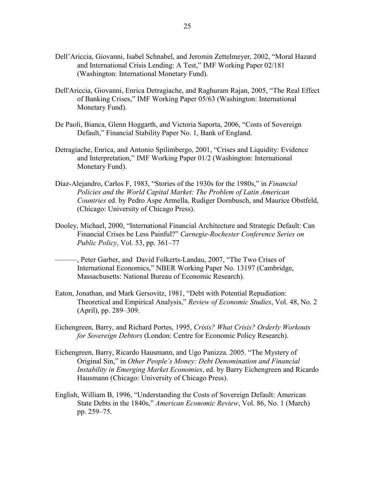- Dell'Ariccia, Giovanni, Isabel Schnabel, and Jeromin Zettelmeyer, 2002, "Moral Hazard and International Crisis Lending: A Test," IMF Working Paper 02/181 (Washington: International Monetary Fund).
- Dell'Ariccia, Giovanni, Enrica Detragiache, and Raghuram Rajan, 2005, "The Real Effect of Banking Crises," IMF Working Paper 05/63 (Washington: International Monetary Fund).
- De Paoli, Bianca, Glenn Hoggarth, and Victoria Saporta, 2006, "Costs of Sovereign Default," Financial Stability Paper No. 1, Bank of England.
- Detragiache, Enrica, and Antonio Spilimbergo, 2001, "Crises and Liquidity: Evidence and Interpretation," IMF Working Paper 01/2 (Washington: International Monetary Fund).
- Díaz-Alejandro, Carlos F, 1983, "Stories of the 1930s for the 1980s," in *Financial Policies and the World Capital Market: The Problem of Latin American Countries* ed. by Pedro Aspe Armella, Rudiger Dornbusch, and Maurice Obstfeld, (Chicago: University of Chicago Press).
- Dooley, Michael, 2000, "International Financial Architecture and Strategic Default: Can Financial Crises be Less Painful?" *Carnegie-Rochester Conference Series on Public Policy*, Vol. 53, pp. 361–77
- ———, Peter Garber, and David Folkerts-Landau, 2007, "The Two Crises of International Economics," NBER Working Paper No. 13197 (Cambridge, Massachusetts: National Bureau of Economic Research).
- Eaton, Jonathan, and Mark Gersovitz, 1981, "Debt with Potential Repudiation: Theoretical and Empirical Analysis," *Review of Economic Studies*, Vol. 48, No. 2 (April), pp. 289–309.
- Eichengreen, Barry, and Richard Portes, 1995, *Crisis? What Crisis? Orderly Workouts for Sovereign Debtors* (London: Centre for Economic Policy Research).
- Eichengreen, Barry, Ricardo Hausmann, and Ugo Panizza. 2005. "The Mystery of Original Sin," in *Other People's Money: Debt Denomination and Financial Instability in Emerging Market Economies*, ed. by Barry Eichengreen and Ricardo Hausmann (Chicago: University of Chicago Press).
- English, William B, 1996, "Understanding the Costs of Sovereign Default: American State Debts in the 1840s," *American Economic Review*, Vol. 86, No. 1 (March) pp. 259–75.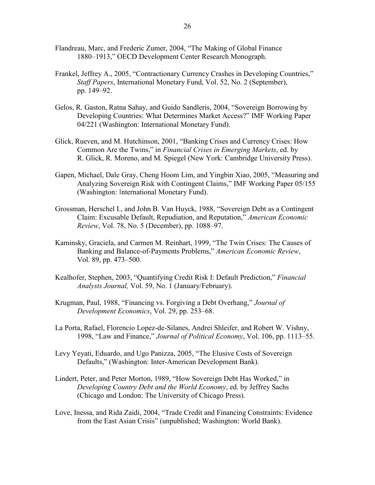- Flandreau, Marc, and Frederic Zumer, 2004, "The Making of Global Finance 1880–1913," OECD Development Center Research Monograph.
- Frankel, Jeffrey A., 2005, "Contractionary Currency Crashes in Developing Countries," *Staff Papers*, International Monetary Fund, Vol. 52, No. 2 (September), pp. 149–92.
- Gelos, R. Gaston, Ratna Sahay, and Guido Sandleris, 2004, "Sovereign Borrowing by Developing Countries: What Determines Market Access?" IMF Working Paper 04/221 (Washington: International Monetary Fund).
- Glick, Rueven, and M. Hutchinson, 2001, "Banking Crises and Currency Crises: How Common Are the Twins," in *Financial Crises in Emerging Markets*, ed. by R. Glick, R. Moreno, and M. Spiegel (New York: Cambridge University Press).
- Gapen, Michael, Dale Gray, Cheng Hoom Lim, and Yingbin Xiao, 2005, "Measuring and Analyzing Sovereign Risk with Contingent Claims," IMF Working Paper 05/155 (Washington: International Monetary Fund).
- Grossman, Herschel I., and John B. Van Huyck, 1988, "Sovereign Debt as a Contingent Claim: Excusable Default, Repudiation, and Reputation," *American Economic Review*, Vol. 78, No. 5 (December), pp. 1088–97.
- Kaminsky, Graciela, and Carmen M. Reinhart, 1999, "The Twin Crises: The Causes of Banking and Balance-of-Payments Problems," *American Economic Review*, Vol. 89, pp. 473–500.
- Kealhofer, Stephen, 2003, "Quantifying Credit Risk I: Default Prediction," *Financial Analysts Journal,* Vol. 59, No. 1 (January/February).
- Krugman, Paul, 1988, "Financing vs. Forgiving a Debt Overhang," *Journal of Development Economics*, Vol. 29, pp. 253–68.
- La Porta, Rafael, Florencio Lopez-de-Silanes, Andrei Shleifer, and Robert W. Vishny, 1998, "Law and Finance," *Journal of Political Economy*, Vol. 106, pp. 1113–55.
- Levy Yeyati, Eduardo, and Ugo Panizza, 2005, "The Elusive Costs of Sovereign Defaults," (Washington: Inter-American Development Bank).
- Lindert, Peter, and Peter Morton, 1989, "How Sovereign Debt Has Worked," in *Developing Country Debt and the World Economy*, ed. by Jeffrey Sachs (Chicago and London: The University of Chicago Press).
- Love, Inessa, and Rida Zaidi, 2004, "Trade Credit and Financing Constraints: Evidence from the East Asian Crisis" (unpublished; Washington: World Bank).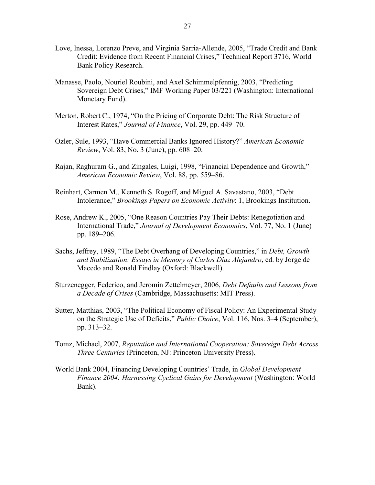- Love, Inessa, Lorenzo Preve, and Virginia Sarria-Allende, 2005, "Trade Credit and Bank Credit: Evidence from Recent Financial Crises," Technical Report 3716, World Bank Policy Research.
- Manasse, Paolo, Nouriel Roubini, and Axel Schimmelpfennig, 2003, "Predicting Sovereign Debt Crises," IMF Working Paper 03/221 (Washington: International Monetary Fund).
- Merton, Robert C., 1974, "On the Pricing of Corporate Debt: The Risk Structure of Interest Rates," *Journal of Finance*, Vol. 29, pp. 449–70.
- Ozler, Sule, 1993, "Have Commercial Banks Ignored History?" *American Economic Review*, Vol. 83, No. 3 (June), pp. 608–20.
- Rajan, Raghuram G., and Zingales, Luigi, 1998, "Financial Dependence and Growth," *American Economic Review*, Vol. 88, pp. 559–86.
- Reinhart, Carmen M., Kenneth S. Rogoff, and Miguel A. Savastano, 2003, "Debt Intolerance," *Brookings Papers on Economic Activity*: 1, Brookings Institution.
- Rose, Andrew K., 2005, "One Reason Countries Pay Their Debts: Renegotiation and International Trade," *Journal of Development Economics*, Vol. 77, No. 1 (June) pp. 189–206.
- Sachs, Jeffrey, 1989, "The Debt Overhang of Developing Countries," in *Debt, Growth and Stabilization: Essays in Memory of Carlos Diaz Alejandro*, ed. by Jorge de Macedo and Ronald Findlay (Oxford: Blackwell).
- Sturzenegger, Federico, and Jeromin Zettelmeyer, 2006, *Debt Defaults and Lessons from a Decade of Crises* (Cambridge, Massachusetts: MIT Press).
- Sutter, Matthias, 2003, "The Political Economy of Fiscal Policy: An Experimental Study on the Strategic Use of Deficits," *Public Choice*, Vol. 116, Nos. 3–4 (September), pp. 313–32.
- Tomz, Michael, 2007, *Reputation and International Cooperation: Sovereign Debt Across Three Centuries* (Princeton, NJ: Princeton University Press).
- World Bank 2004, Financing Developing Countries' Trade, in *Global Development Finance 2004: Harnessing Cyclical Gains for Development* (Washington: World Bank).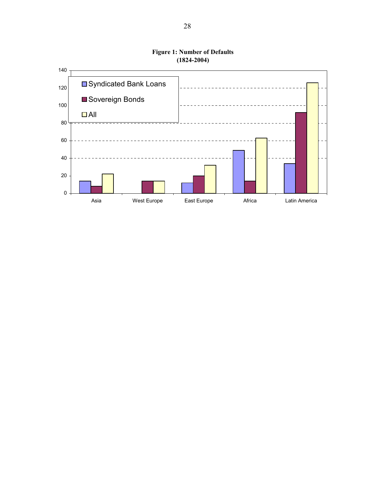

**Figure 1: Number of Defaults (1824-2004)**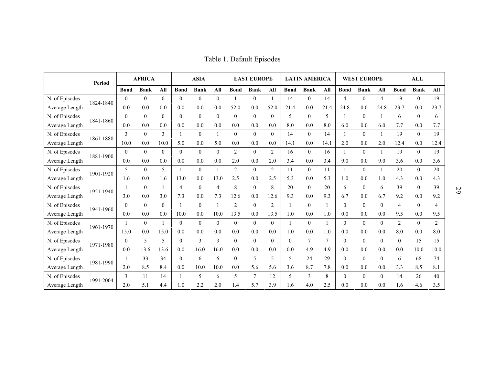|                | Period    |          | <b>AFRICA</b> |              |             | <b>ASIA</b>    |                          |                | <b>EAST EUROPE</b> |                |             | <b>LATIN AMERICA</b> |                |                  | <b>WEST EUROPE</b> |                |                | ALL            |                |
|----------------|-----------|----------|---------------|--------------|-------------|----------------|--------------------------|----------------|--------------------|----------------|-------------|----------------------|----------------|------------------|--------------------|----------------|----------------|----------------|----------------|
|                |           |          | <b>Bank</b>   | All          | <b>Bond</b> | <b>Bank</b>    | All                      | <b>Bond</b>    | <b>Bank</b>        | All            | <b>Bond</b> | <b>Bank</b>          | All            | <b>Bond</b>      | <b>Bank</b>        | All            | <b>Bond</b>    | <b>Bank</b>    | All            |
| N. of Episodes | 1824-1840 | $\theta$ | $\Omega$      | $\theta$     | $\theta$    | $\theta$       | $\theta$                 |                | $\theta$           | $\overline{1}$ | 14          | $\theta$             | 14             | $\overline{4}$   | $\theta$           | $\overline{4}$ | 19             | $\Omega$       | 19             |
| Average Length |           | 0.0      | 0.0           | 0.0          | 0.0         | 0.0            | 0.0                      | 52.0           | 0.0                | 52.0           | 21.4        | 0.0                  | 21.4           | 24.8             | 0.0                | 24.8           | 23.7           | 0.0            | 23.7           |
| N. of Episodes | 1841-1860 | $\Omega$ | $\Omega$      | $\theta$     | $\theta$    | $\Omega$       | $\theta$                 | $\theta$       | $\Omega$           | $\theta$       | 5           | $\theta$             | 5              |                  | $\theta$           |                | 6              | $\Omega$       | 6              |
| Average Length |           | 0.0      | 0.0           | 0.0          | 0.0         | 0.0            | 0.0                      | 0.0            | 0.0                | 0.0            | 8.0         | 0.0                  | 8.0            | 6.0              | 0.0                | 6.0            | 7.7            | 0.0            | 7.7            |
| N. of Episodes | 1861-1880 | 3        | $\Omega$      | 3            |             | $\theta$       | $\overline{1}$           | $\theta$       | $\theta$           | $\theta$       | 14          | $\theta$             | 14             |                  | $\theta$           |                | 19             | $\overline{0}$ | 19             |
| Average Length |           | 10.0     | 0.0           | 10.0         | 5.0         | 0.0            | 5.0                      | 0.0            | 0.0                | 0.0            | 14.1        | 0.0                  | 14.1           | 2.0              | 0.0                | 2.0            | 12.4           | 0.0            | 12.4           |
| N. of Episodes | 1881-1900 | $\theta$ | $\theta$      | $\mathbf{0}$ | $\theta$    | $\Omega$       | $\overline{0}$           | 2              | $\Omega$           | $\overline{2}$ | 16          | $\theta$             | 16             |                  | $\mathbf{0}$       |                | 19             | $\overline{0}$ | 19             |
| Average Length |           | 0.0      | 0.0           | 0.0          | 0.0         | 0.0            | 0.0                      | 2.0            | 0.0                | 2.0            | 3.4         | 0.0                  | 3.4            | 9.0              | 0.0                | 9.0            | 3.6            | 0.0            | 3.6            |
| N. of Episodes | 1901-1920 | 5        | $\theta$      | 5            |             | $\Omega$       |                          | $\overline{2}$ | $\Omega$           | 2              | 11          | $\mathbf{0}$         | 11             |                  | $\mathbf{0}$       |                | 20             | $\overline{0}$ | 20             |
| Average Length |           | 1.6      | 0.0           | 1.6          | 13.0        | 0.0            | 13.0                     | 2.5            | 0.0                | 2.5            | 5.3         | 0.0                  | 5.3            | 1.0              | 0.0                | 1.0            | 4.3            | 0.0            | 4.3            |
| N. of Episodes | 1921-1940 |          | $\theta$      | 1            | 4           | $\overline{0}$ | $\overline{4}$           | 8              | $\overline{0}$     | 8              | 20          | $\theta$             | 20             | 6                | $\mathbf{0}$       | 6              | 39             | $\overline{0}$ | 39             |
| Average Length |           | 3.0      | 0.0           | 3.0          | 7.3         | 0.0            | 7.3                      | 12.6           | 0.0                | 12.6           | 9.3         | 0.0                  | 9.3            | 6.7              | 0.0                | 6.7            | 9.2            | 0.0            | 9.2            |
| N. of Episodes | 1941-1960 | $\Omega$ | $\theta$      | $\theta$     |             | $\theta$       | $\overline{\phantom{a}}$ | 2              | $\theta$           | $\overline{2}$ |             | $\theta$             | $\mathbf{1}$   | $\mathbf{0}$     | $\theta$           | $\Omega$       | $\overline{4}$ | $\Omega$       | $\overline{4}$ |
| Average Length |           | 0.0      | 0.0           | 0.0          | 10.0        | 0.0            | 10.0                     | 13.5           | 0.0                | 13.5           | 1.0         | 0.0                  | 1.0            | 0.0              | 0.0                | 0.0            | 9.5            | 0.0            | 9.5            |
| N. of Episodes | 1961-1970 | 1        | $\Omega$      | $\mathbf{1}$ | $\Omega$    | $\Omega$       | $\theta$                 | $\theta$       | $\Omega$           | $\theta$       |             | $\theta$             | $\mathbf{1}$   | $\boldsymbol{0}$ | $\Omega$           | $\Omega$       | $\overline{2}$ | $\Omega$       | $\mathfrak{D}$ |
| Average Length |           | 15.0     | 0.0           | 15.0         | 0.0         | 0.0            | 0.0                      | 0.0            | 0.0                | 0.0            | 1.0         | 0.0                  | 1.0            | 0.0              | 0.0                | 0.0            | 8.0            | 0.0            | 8.0            |
| N. of Episodes | 1971-1980 | $\Omega$ | 5             | 5            | $\theta$    | 3              | $\mathfrak{Z}$           | $\theta$       | $\Omega$           | $\theta$       | $\theta$    | $\tau$               | $\overline{7}$ | $\mathbf{0}$     | $\theta$           | $\Omega$       | $\overline{0}$ | 15             | 15             |
| Average Length |           | 0.0      | 13.6          | 13.6         | 0.0         | 16.0           | 16.0                     | 0.0            | 0.0                | 0.0            | 0.0         | 4.9                  | 4.9            | 0.0              | 0.0                | 0.0            | 0.0            | 10.0           | 10.0           |
| N. of Episodes | 1981-1990 |          | 33            | 34           | $\theta$    | 6              | 6                        | $\theta$       | 5                  | 5              | 5           | 24                   | 29             | $\overline{0}$   | $\mathbf{0}$       | $\Omega$       | 6              | 68             | 74             |
| Average Length |           | 2.0      | 8.5           | 8.4          | 0.0         | 10.0           | 10.0                     | 0.0            | 5.6                | 5.6            | 3.6         | 8.7                  | 7.8            | 0.0              | 0.0                | 0.0            | 3.3            | 8.5            | 8.1            |
| N. of Episodes |           | 3        | 11            | 14           |             | 5              | 6                        | 5              | 7                  | 12             | 5           | 3                    | 8              | $\overline{0}$   | $\mathbf{0}$       | $\theta$       | 14             | 26             | 40             |
| Average Length | 1991-2004 | 2.0      | 5.1           | 4.4          | 1.0         | 2.2            | 2.0                      | 1.4            | 5.7                | 3.9            | 1.6         | 4.0                  | 2.5            | 0.0              | 0.0                | 0.0            | 1.6            | 4.6            | 3.5            |

Table 1. Default Episodes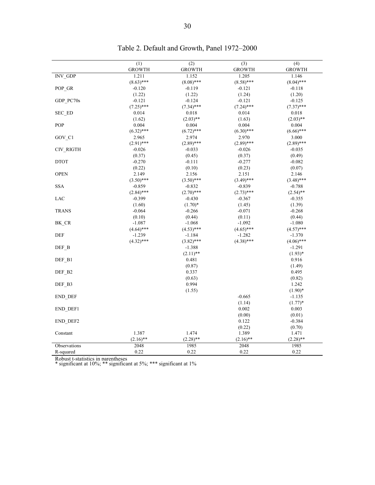|                      | (1)           | (2)           | (3)           | (4)           |
|----------------------|---------------|---------------|---------------|---------------|
|                      | <b>GROWTH</b> | <b>GROWTH</b> | <b>GROWTH</b> | <b>GROWTH</b> |
| $INV$ <sub>GDP</sub> | 1.211         | 1.152         | 1.205         | 1.146         |
|                      | $(8.63)$ ***  | $(8.08)$ ***  | $(8.58)$ ***  | $(8.04)$ ***  |
| POP_GR               | $-0.120$      | $-0.119$      | $-0.121$      | $-0.118$      |
|                      | (1.22)        | (1.22)        | (1.24)        | (1.20)        |
| GDP PC70s            | $-0.121$      | $-0.124$      | $-0.121$      | $-0.125$      |
|                      | $(7.25)$ ***  | $(7.34)$ ***  | $(7.24)$ ***  | $(7.37)$ ***  |
| SEC_ED               | 0.014         | 0.018         | 0.014         | 0.018         |
|                      | (1.62)        | $(2.03)$ **   | (1.63)        | $(2.03)$ **   |
| POP                  | 0.004         | 0.004         | 0.004         | 0.004         |
|                      | $(6.32)$ ***  | $(6.72)$ ***  | $(6.30)$ ***  | $(6.66)$ ***  |
| GOV_C1               | 2.965         | 2.974         | 2.970         | 3.000         |
|                      | $(2.91)$ ***  | $(2.89)$ ***  | $(2.89)$ ***  | $(2.89)$ ***  |
| CIV_RIGTH            | $-0.026$      | $-0.033$      | $-0.026$      | $-0.035$      |
|                      | (0.37)        | (0.45)        | (0.37)        | (0.49)        |
| <b>DTOT</b>          | $-0.270$      | $-0.111$      | $-0.277$      | $-0.082$      |
|                      | (0.22)        | (0.10)        | (0.23)        | (0.07)        |
| <b>OPEN</b>          | 2.149         | 2.156         | 2.151         | 2.146         |
|                      | $(3.50)$ ***  | $(3.50)$ ***  | $(3.49)$ ***  | $(3.48)$ ***  |
| <b>SSA</b>           | $-0.859$      | $-0.832$      | $-0.839$      | $-0.788$      |
|                      | $(2.84)$ ***  | $(2.70)$ ***  | $(2.73)$ ***  | $(2.54)$ **   |
| LAC                  | $-0.399$      | $-0.430$      | $-0.367$      | $-0.355$      |
|                      | (1.60)        | $(1.70)*$     | (1.45)        | (1.39)        |
| <b>TRANS</b>         | $-0.064$      | $-0.266$      | $-0.071$      | $-0.268$      |
|                      | (0.10)        | (0.44)        | (0.11)        | (0.44)        |
| BK_CR                | $-1.087$      | $-1.068$      | $-1.092$      | $-1.080$      |
|                      | $(4.64)$ ***  | $(4.53)$ ***  | $(4.65)$ ***  | $(4.57)$ ***  |
| $\rm{DEF}$           | $-1.239$      | $-1.184$      | $-1.282$      | $-1.370$      |
|                      | $(4.32)$ ***  | $(3.82)$ ***  | $(4.38)$ ***  | $(4.06)$ ***  |
| $DEF_B$              |               | $-1.388$      |               | $-1.291$      |
|                      |               | $(2.11)$ **   |               | $(1.93)*$     |
| DEF_B1               |               | 0.481         |               | 0.916         |
|                      |               | (0.87)        |               | (1.49)        |
| DEF B2               |               | 0.337         |               | 0.495         |
|                      |               | (0.63)        |               | (0.82)        |
| DEF B3               |               | 0.994         |               | 1.242         |
|                      |               | (1.55)        |               | $(1.90)*$     |
| END DEF              |               |               | $-0.665$      | $-1.135$      |
|                      |               |               | (1.14)        | $(1.77)*$     |
| END DEF1             |               |               | 0.002         | 0.003         |
|                      |               |               | (0.00)        | (0.01)        |
| END_DEF2             |               |               | 0.122         | $-0.384$      |
|                      |               |               | (0.22)        | (0.70)        |
| Constant             | 1.387         | 1.474         | 1.389         | 1.471         |
|                      | $(2.16)$ **   | $(2.28)$ **   | $(2.16)$ **   | $(2.28)$ **   |
| Observations         | 2048          | 1985          | 2048          | 1985          |
| R-squared            | 0.22          | 0.22          | 0.22          | 0.22          |

Table 2. Default and Growth, Panel 1972–2000

Robust t-statistics in parentheses<br>\* significant at 10%; \*\* significant at 1%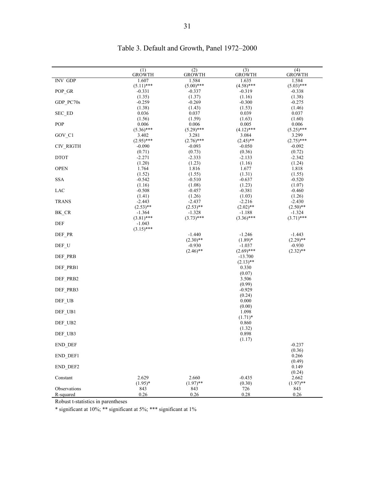|                | (1)<br><b>GROWTH</b>    | (2)<br><b>GROWTH</b>    | (3)<br><b>GROWTH</b>    | (4)<br>GROWTH           |
|----------------|-------------------------|-------------------------|-------------------------|-------------------------|
| <b>INV GDP</b> | 1.607                   | 1.584                   | 1.635                   | 1.584                   |
|                | $(5.11)$ ***            | $(5.00)$ ***            | $(4.58)$ ***            | $(5.03)$ ***            |
| POP_GR         | $-0.331$<br>(1.35)      | $-0.337$<br>(1.37)      | $-0.319$<br>(1.16)      | $-0.338$<br>(1.38)      |
| GDP_PC70s      | $-0.259$                | $-0.269$                | $-0.300$                | $-0.275$                |
|                | (1.38)                  | (1.43)                  | (1.53)                  | (1.46)                  |
| SEC_ED         | 0.036                   | 0.037                   | 0.039                   | 0.037                   |
| POP            | (1.56)<br>0.006         | (1.59)<br>0.006         | (1.63)<br>0.005         | (1.60)<br>0.006         |
|                | $(5.36)$ ***            | $(5.29)$ ***            | $(4.12)$ ***            | $(5.25)$ ***            |
| GOV_C1         | 3.402                   | 3.281                   | 3.084                   | 3.299                   |
|                | $(2.95)$ ***            | $(2.76)$ ***            | $(2.45)$ **             | $(2.75)$ ***            |
| CIV_RIGTH      | $-0.090$                | $-0.093$                | $-0.050$                | $-0.092$                |
| <b>DTOT</b>    | (0.71)<br>$-2.271$      | (0.73)<br>$-2.333$      | (0.36)<br>$-2.133$      | (0.72)<br>$-2.342$      |
|                | (1.20)                  | (1.23)                  | (1.16)                  | (1.24)                  |
| <b>OPEN</b>    | 1.764                   | 1.816                   | 1.677                   | 1.818                   |
|                | (1.52)                  | (1.55)                  | (1.31)                  | (1.55)                  |
| <b>SSA</b>     | $-0.542$<br>(1.16)      | $-0.510$<br>(1.08)      | $-0.637$<br>(1.23)      | $-0.520$<br>(1.07)      |
| <b>LAC</b>     | $-0.508$                | $-0.457$                | $-0.381$                | $-0.460$                |
|                | (1.41)                  | (1.26)                  | (1.03)                  | (1.26)                  |
| <b>TRANS</b>   | $-2.443$                | $-2.437$                | $-2.216$                | $-2.430$                |
| BK_CR          | $(2.53)$ **<br>$-1.364$ | $(2.53)$ **<br>$-1.328$ | $(2.02)$ **<br>$-1.188$ | $(2.50)$ **<br>$-1.324$ |
|                | $(3.81)$ ***            | $(3.73)$ ***            | $(3.36)$ ***            | $(3.71)$ ***            |
| DEF            | $-1.043$                |                         |                         |                         |
|                | $(3.15)$ ***            |                         |                         |                         |
| DEF_PR         |                         | $-1.440$<br>$(2.30)$ ** | $-1.246$<br>$(1.89)^*$  | $-1.443$<br>$(2.29)$ ** |
| DEF_U          |                         | $-0.930$                | $-1.037$                | $-0.930$                |
|                |                         | $(2.46)$ **             | $(2.69)$ ***            | $(2.32)$ **             |
| DEF_PRB        |                         |                         | $-13.700$               |                         |
|                |                         |                         | $(2.13)$ **             |                         |
| DEF_PRB1       |                         |                         | 0.330<br>(0.07)         |                         |
| DEF_PRB2       |                         |                         | 3.506                   |                         |
|                |                         |                         | (0.99)                  |                         |
| DEF_PRB3       |                         |                         | $-0.929$                |                         |
| DEF_UB         |                         |                         | (0.24)<br>0.000         |                         |
|                |                         |                         | (0.00)                  |                         |
| DEF_UB1        |                         |                         | 1.098                   |                         |
|                |                         |                         | $(1.71)^*$<br>0.860     |                         |
| DEF_UB2        |                         |                         | (1.32)                  |                         |
| DEF UB3        |                         |                         | 0.898                   |                         |
|                |                         |                         | (1.17)                  |                         |
| <b>END DEF</b> |                         |                         |                         | $-0.237$<br>(0.36)      |
| END_DEF1       |                         |                         |                         | 0.266                   |
|                |                         |                         |                         | (0.49)                  |
| END_DEF2       |                         |                         |                         | 0.149                   |
|                | 2.629                   | 2.660                   |                         | (0.24)                  |
| Constant       | $(1.95)^*$              | $(1.97)$ **             | $-0.435$<br>(0.30)      | 2.662<br>$(1.97)$ **    |
| Observations   | 843                     | 843                     | 726                     | 843                     |
| R-squared      | 0.26                    | 0.26                    | 0.28                    | 0.26                    |

# Table 3. Default and Growth, Panel 1972–2000

Robust t-statistics in parentheses

\* significant at 10%; \*\* significant at 5%; \*\*\* significant at 1%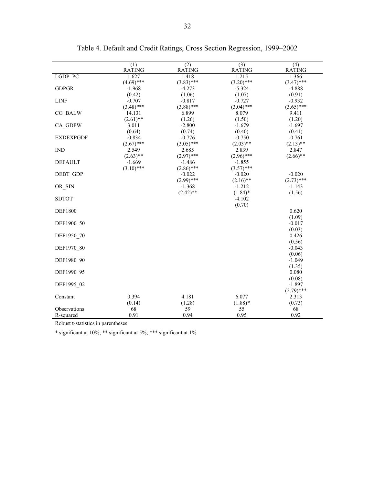|                  | (1)                   | (2)                      | (3)                      | (4)                      |
|------------------|-----------------------|--------------------------|--------------------------|--------------------------|
|                  | <b>RATING</b>         | <b>RATING</b>            | <b>RATING</b>            | <b>RATING</b>            |
| LGDP PC          | 1.627<br>$(4.69)$ *** | 1.418                    | 1.215                    | 1.366                    |
| <b>GDPGR</b>     | $-1.968$              | $(3.83)$ ***<br>$-4.273$ | $(3.20)$ ***<br>$-5.324$ | $(3.47)$ ***<br>$-4.888$ |
|                  | (0.42)                | (1.06)                   | (1.07)                   | (0.91)                   |
| <b>LINF</b>      | $-0.707$              | $-0.817$                 | $-0.727$                 | $-0.932$                 |
|                  | $(3.48)$ ***          | $(3.88)$ ***             | $(3.04)$ ***             | $(3.65)$ ***             |
| CG BALW          | 14.131                | 6.899                    | 8.079                    | 9.411                    |
|                  | $(2.61)$ **           | (1.26)                   | (1.50)                   | (1.20)                   |
| CA GDPW          | 3.011                 | $-2.800$                 | $-1.679$                 | $-1.697$                 |
|                  | (0.64)                | (0.74)                   | (0.40)                   | (0.41)                   |
| <b>EXDEXPGDF</b> | $-0.834$              | $-0.776$                 | $-0.750$                 | $-0.761$                 |
|                  | $(2.67)$ ***          | $(3.05)$ ***             | $(2.03)$ **              | $(2.13)$ **              |
| <b>IND</b>       | 2.549                 | 2.685                    | 2.839                    | 2.847                    |
|                  | $(2.63)$ **           | $(2.97)$ ***             | $(2.96)$ ***             | $(2.66)$ **              |
| <b>DEFAULT</b>   | $-1.669$              | $-1.486$                 | $-1.855$                 |                          |
|                  | $(3.10)$ ***          | $(2.86)$ ***             | $(3.57)$ ***             |                          |
| DEBT GDP         |                       | $-0.022$                 | $-0.020$                 | $-0.020$                 |
|                  |                       | $(2.99)$ ***             | $(2.16)$ **              | $(2.73)$ ***             |
| OR SIN           |                       | $-1.368$                 | $-1.212$                 | $-1.143$                 |
|                  |                       | $(2.42)$ **              | $(1.84)$ *               | (1.56)                   |
| <b>SDTOT</b>     |                       |                          | $-4.102$                 |                          |
|                  |                       |                          | (0.70)                   |                          |
| <b>DEF1800</b>   |                       |                          |                          | 0.620                    |
|                  |                       |                          |                          | (1.09)                   |
| DEF1900 50       |                       |                          |                          | $-0.017$                 |
|                  |                       |                          |                          | (0.03)                   |
| DEF1950 70       |                       |                          |                          | 0.426                    |
|                  |                       |                          |                          | (0.56)                   |
| DEF1970 80       |                       |                          |                          | $-0.043$                 |
|                  |                       |                          |                          | (0.06)                   |
| DEF1980 90       |                       |                          |                          | $-1.049$                 |
|                  |                       |                          |                          | (1.35)                   |
| DEF1990 95       |                       |                          |                          | 0.080                    |
|                  |                       |                          |                          | (0.08)                   |
| DEF1995 02       |                       |                          |                          | $-1.897$                 |
|                  |                       |                          |                          | $(2.79)$ ***             |
| Constant         | 0.394                 | 4.181                    | 6.077                    | 2.313                    |
|                  | (0.14)                | (1.28)                   | $(1.88)*$                | (0.73)                   |
| Observations     | 68                    | 59                       | 55                       | 68                       |
| R-squared        | 0.91                  | 0.94                     | 0.95                     | 0.92                     |

Table 4. Default and Credit Ratings, Cross Section Regression, 1999–2002

Robust t-statistics in parentheses

\* significant at 10%; \*\* significant at 5%; \*\*\* significant at 1%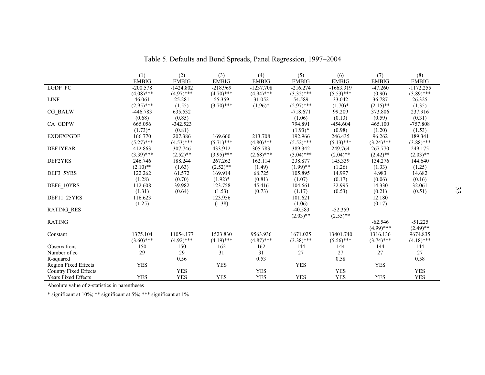|                              | (1)          | (2)          | (3)          | (4)          | (5)          | (6)          | (7)          | (8)          |
|------------------------------|--------------|--------------|--------------|--------------|--------------|--------------|--------------|--------------|
|                              | <b>EMBIG</b> | <b>EMBIG</b> | <b>EMBIG</b> | <b>EMBIG</b> | <b>EMBIG</b> | <b>EMBIG</b> | <b>EMBIG</b> | <b>EMBIG</b> |
| LGDP PC                      | $-200.578$   | $-1424.802$  | $-218.969$   | $-1237.708$  | $-216.274$   | $-1663.319$  | $-47.260$    | $-1172.255$  |
|                              | $(4.08)$ *** | $(4.97)$ *** | $(4.70)$ *** | $(4.94)$ *** | $(3.32)$ *** | $(5.53)$ *** | (0.90)       | $(3.89)$ *** |
| <b>LINF</b>                  | 46.061       | 25.281       | 55.359       | 31.052       | 54.589       | 33.042       | 36.787       | 26.325       |
|                              | $(2.95)$ *** | (1.55)       | $(3.70)$ *** | $(1.96)^*$   | $(2.97)$ *** | $(1.70)*$    | $(2.15)$ **  | (1.35)       |
| CG_BALW                      | $-446.783$   | 635.532      |              |              | $-718.671$   | 99.209       | 373.806      | 237.916      |
|                              | (0.68)       | (0.85)       |              |              | (1.06)       | (0.13)       | (0.59)       | (0.31)       |
| CA GDPW                      | 665.056      | $-342.523$   |              |              | 794.891      | $-454.604$   | 465.100      | $-757.808$   |
|                              | $(1.73)*$    | (0.81)       |              |              | $(1.93)*$    | (0.98)       | (1.20)       | (1.53)       |
| <b>EXDEXPGDF</b>             | 166.770      | 207.386      | 169.660      | 213.708      | 192.966      | 246.435      | 96.262       | 189.341      |
|                              | $(5.27)$ *** | $(4.53)$ *** | $(5.71)$ *** | $(4.80)$ *** | $(5.52)$ *** | $(5.13)$ *** | $(3.24)$ *** | $(3.88)$ *** |
| DEF1YEAR                     | 412.863      | 307.746      | 433.912      | 305.783      | 389.342      | 249.764      | 267.770      | 249.175      |
|                              | $(3.39)$ *** | $(2.52)$ **  | $(3.95)$ *** | $(2.68)$ *** | $(3.04)$ *** | $(2.04)$ **  | $(2.42)$ **  | $(2.03)$ **  |
| DEF2YRS                      | 246.746      | 188.244      | 267.262      | 162.114      | 238.877      | 145.339      | 134.276      | 144.640      |
|                              | $(2.10)$ **  | (1.63)       | $(2.52)$ **  | (1.49)       | $(1.99)$ **  | (1.26)       | (1.33)       | (1.25)       |
| DEF3 5YRS                    | 122.262      | 61.572       | 169.914      | 68.725       | 105.895      | 14.997       | 4.983        | 14.682       |
|                              | (1.28)       | (0.70)       | $(1.92)^*$   | (0.81)       | (1.07)       | (0.17)       | (0.06)       | (0.16)       |
| DEF6_10YRS                   | 112.608      | 39.982       | 123.758      | 45.416       | 104.661      | 32.995       | 14.330       | 32.061       |
|                              | (1.31)       | (0.64)       | (1.53)       | (0.73)       | (1.17)       | (0.53)       | (0.21)       | (0.51)       |
| DEF11 25YRS                  | 116.623      |              | 123.956      |              | 101.621      |              | 12.180       |              |
|                              | (1.25)       |              | (1.38)       |              | (1.06)       |              | (0.17)       |              |
| <b>RATING RES</b>            |              |              |              |              | $-40.583$    | $-52.359$    |              |              |
|                              |              |              |              |              | $(2.03)$ **  | $(2.55)$ **  |              |              |
| <b>RATING</b>                |              |              |              |              |              |              | $-62.546$    | $-51.225$    |
|                              |              |              |              |              |              |              | $(4.99)$ *** | $(2.49)$ **  |
| Constant                     | 1375.104     | 11054.177    | 1523.830     | 9563.936     | 1671.025     | 13401.740    | 1316.136     | 9674.835     |
|                              | $(3.60)$ *** | $(4.92)$ *** | $(4.19)$ *** | $(4.87)$ *** | $(3.38)$ *** | $(5.56)$ *** | $(3.74)$ *** | $(4.18)$ *** |
| Observations                 | 150          | 150          | 162          | 162          | 144          | 144          | 144          | 144          |
| Number of cc                 | 29           | 29           | 31           | 31           | 27           | 27           | 27           | 27           |
| R-squared                    |              | 0.56         |              | 0.53         |              | 0.58         |              | 0.58         |
| Region Fixed Effects         | <b>YES</b>   |              | <b>YES</b>   |              | <b>YES</b>   |              | <b>YES</b>   |              |
| <b>Country Fixed Effects</b> |              | <b>YES</b>   |              | <b>YES</b>   |              | <b>YES</b>   |              | <b>YES</b>   |
| <b>Years Fixed Effects</b>   | <b>YES</b>   | <b>YES</b>   | <b>YES</b>   | <b>YES</b>   | <b>YES</b>   | <b>YES</b>   | <b>YES</b>   | <b>YES</b>   |

Table 5. Defaults and Bond Spreads, Panel Regression, 1997–2004

Absolute value of z-statistics in parentheses

\* significant at 10%; \*\* significant at 5%; \*\*\* significant at 1%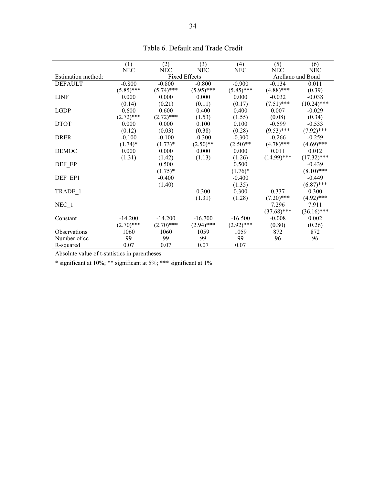| (1)          | (2)                                                                | (3)                                                                                              | (4)                                                                                                        | (5)                                                                                               | (6)                                                                                                        |  |
|--------------|--------------------------------------------------------------------|--------------------------------------------------------------------------------------------------|------------------------------------------------------------------------------------------------------------|---------------------------------------------------------------------------------------------------|------------------------------------------------------------------------------------------------------------|--|
|              |                                                                    |                                                                                                  |                                                                                                            |                                                                                                   | <b>NEC</b>                                                                                                 |  |
|              |                                                                    |                                                                                                  |                                                                                                            | Arellano and Bond                                                                                 |                                                                                                            |  |
| $-0.800$     | $-0.800$                                                           | $-0.800$                                                                                         | $-0.900$                                                                                                   | $-0.134$                                                                                          | 0.011                                                                                                      |  |
|              |                                                                    |                                                                                                  |                                                                                                            |                                                                                                   | (0.39)                                                                                                     |  |
| 0.000        | 0.000                                                              | 0.000                                                                                            | 0.000                                                                                                      | $-0.032$                                                                                          | $-0.038$                                                                                                   |  |
| (0.14)       | (0.21)                                                             | (0.11)                                                                                           | (0.17)                                                                                                     | $(7.51)$ ***                                                                                      | $(10.24)$ ***                                                                                              |  |
| 0.600        | 0.600                                                              | 0.400                                                                                            | 0.400                                                                                                      | 0.007                                                                                             | $-0.029$                                                                                                   |  |
| $(2.72)$ *** | $(2.72)$ ***                                                       | (1.53)                                                                                           | (1.55)                                                                                                     | (0.08)                                                                                            | (0.34)                                                                                                     |  |
| 0.000        | 0.000                                                              | 0.100                                                                                            | 0.100                                                                                                      | $-0.599$                                                                                          | $-0.533$                                                                                                   |  |
| (0.12)       | (0.03)                                                             | (0.38)                                                                                           | (0.28)                                                                                                     | $(9.53)$ ***                                                                                      | $(7.92)$ ***                                                                                               |  |
| $-0.100$     | $-0.100$                                                           | $-0.300$                                                                                         | $-0.300$                                                                                                   | $-0.266$                                                                                          | $-0.259$                                                                                                   |  |
| $(1.74)^*$   | $(1.73)*$                                                          | $(2.50)$ **                                                                                      | $(2.50)$ **                                                                                                | $(4.78)$ ***                                                                                      | $(4.69)$ ***                                                                                               |  |
| 0.000        | 0.000                                                              | 0.000                                                                                            | 0.000                                                                                                      | 0.011                                                                                             | 0.012                                                                                                      |  |
|              | (1.42)                                                             | (1.13)                                                                                           | (1.26)                                                                                                     | $(14.99)$ ***                                                                                     | $(17.32)$ ***                                                                                              |  |
|              |                                                                    |                                                                                                  | 0.500                                                                                                      |                                                                                                   | $-0.439$                                                                                                   |  |
|              |                                                                    |                                                                                                  |                                                                                                            |                                                                                                   | $(8.10)$ ***                                                                                               |  |
|              | $-0.400$                                                           |                                                                                                  | $-0.400$                                                                                                   |                                                                                                   | $-0.449$                                                                                                   |  |
|              |                                                                    |                                                                                                  |                                                                                                            |                                                                                                   | $(6.87)$ ***                                                                                               |  |
|              |                                                                    |                                                                                                  | 0.300                                                                                                      |                                                                                                   | 0.300                                                                                                      |  |
|              |                                                                    |                                                                                                  |                                                                                                            |                                                                                                   | $(4.92)$ ***                                                                                               |  |
|              |                                                                    |                                                                                                  |                                                                                                            |                                                                                                   | 7.911                                                                                                      |  |
|              |                                                                    |                                                                                                  |                                                                                                            |                                                                                                   | $(36.16)$ ***                                                                                              |  |
|              |                                                                    |                                                                                                  |                                                                                                            |                                                                                                   | 0.002                                                                                                      |  |
|              |                                                                    |                                                                                                  |                                                                                                            |                                                                                                   | (0.26)                                                                                                     |  |
|              |                                                                    |                                                                                                  |                                                                                                            |                                                                                                   | 872                                                                                                        |  |
| 99           | 99                                                                 | 99                                                                                               | 99                                                                                                         | 96                                                                                                | 96                                                                                                         |  |
| 0.07         | 0.07                                                               | 0.07                                                                                             | 0.07                                                                                                       |                                                                                                   |                                                                                                            |  |
|              | NEC<br>$(5.85)$ ***<br>(1.31)<br>$-14.200$<br>$(2.70)$ ***<br>1060 | <b>NEC</b><br>$(5.74)$ ***<br>0.500<br>$(1.75)^*$<br>(1.40)<br>$-14.200$<br>$(2.70)$ ***<br>1060 | <b>NEC</b><br><b>Fixed Effects</b><br>$(5.95)$ ***<br>0.300<br>(1.31)<br>$-16.700$<br>$(2.94)$ ***<br>1059 | <b>NEC</b><br>$(5.85)$ ***<br>$(1.76)^*$<br>(1.35)<br>(1.28)<br>$-16.500$<br>$(2.92)$ ***<br>1059 | <b>NEC</b><br>$(4.88)$ ***<br>0.337<br>$(7.20)$ ***<br>7.296<br>$(37.68)$ ***<br>$-0.008$<br>(0.80)<br>872 |  |

Table 6. Default and Trade Credit

Absolute value of t-statistics in parentheses

 $\hspace{0.1cm}$  \* significant at 10%; \*\*\* significant at 1%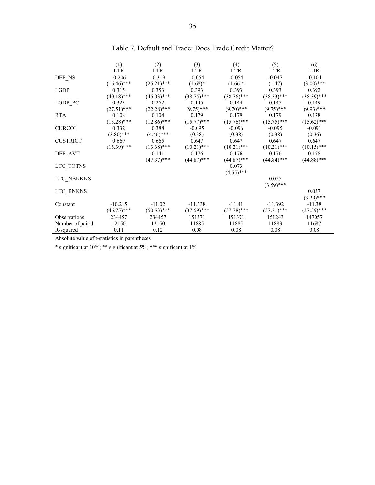|                  | (1)           | (2)           | (3)           | (4)           | (5)           | (6)           |
|------------------|---------------|---------------|---------------|---------------|---------------|---------------|
|                  | <b>LTR</b>    | <b>LTR</b>    | <b>LTR</b>    | <b>LTR</b>    | LTR           | <b>LTR</b>    |
| DEF NS           | $-0.206$      | $-0.319$      | $-0.054$      | $-0.054$      | $-0.047$      | $-0.104$      |
|                  | $(16.46)$ *** | $(25.21)$ *** | $(1.68)*$     | $(1.66)^*$    | (1.47)        | $(3.00)$ ***  |
| LGDP             | 0.315         | 0.353         | 0.393         | 0.393         | 0.393         | 0.392         |
|                  | $(40.18)$ *** | $(45.03)$ *** | $(38.75)$ *** | $(38.76)$ *** | $(38.73)$ *** | $(38.39)$ *** |
| LGDP_PC          | 0.323         | 0.262         | 0.145         | 0.144         | 0.145         | 0.149         |
|                  | $(27.51)$ *** | $(22.28)$ *** | $(9.75)$ ***  | $(9.70)$ ***  | $(9.75)$ ***  | $(9.93)$ ***  |
| <b>RTA</b>       | 0.108         | 0.104         | 0.179         | 0.179         | 0.179         | 0.178         |
|                  | $(13.28)$ *** | $(12.86)$ *** | $(15.77)$ *** | $(15.76)$ *** | $(15.75)$ *** | $(15.62)$ *** |
| <b>CURCOL</b>    | 0.332         | 0.388         | $-0.095$      | $-0.096$      | $-0.095$      | $-0.091$      |
|                  | $(3.80)$ ***  | $(4.46)$ ***  | (0.38)        | (0.38)        | (0.38)        | (0.36)        |
| <b>CUSTRICT</b>  | 0.669         | 0.665         | 0.647         | 0.647         | 0.647         | 0.647         |
|                  | $(13.39)$ *** | $(13.38)$ *** | $(10.21)$ *** | $(10.21)$ *** | $(10.21)$ *** | $(10.15)$ *** |
| DEF_AVT          |               | 0.141         | 0.176         | 0.176         | 0.176         | 0.178         |
|                  |               | $(47.37)$ *** | $(44.87)$ *** | $(44.87)$ *** | $(44.84)$ *** | $(44.88)$ *** |
| LTC_TOTNS        |               |               |               | 0.073         |               |               |
|                  |               |               |               | $(4.55)$ ***  |               |               |
| LTC_NBNKNS       |               |               |               |               | 0.055         |               |
|                  |               |               |               |               | $(3.59)$ ***  |               |
| LTC BNKNS        |               |               |               |               |               | 0.037         |
|                  |               |               |               |               |               | $(3.29)$ ***  |
| Constant         | $-10.215$     | $-11.02$      | $-11.338$     | $-11.41$      | $-11.392$     | $-11.38$      |
|                  | $(46.75)$ *** | $(50.53)$ *** | $(37.59)$ *** | $(37.78)$ *** | $(37.71)$ *** | $(37.39)$ *** |
| Observations     | 234457        | 234457        | 151371        | 151371        | 151243        | 147057        |
| Number of pairid | 12150         | 12150         | 11885         | 11885         | 11883         | 11687         |
| R-squared        | 0.11          | 0.12          | 0.08          | 0.08          | 0.08          | 0.08          |

### Table 7. Default and Trade: Does Trade Credit Matter?

Absolute value of t-statistics in parentheses

 $\hspace{0.1cm}$  \* significant at 10%; \*\*\* significant at 1%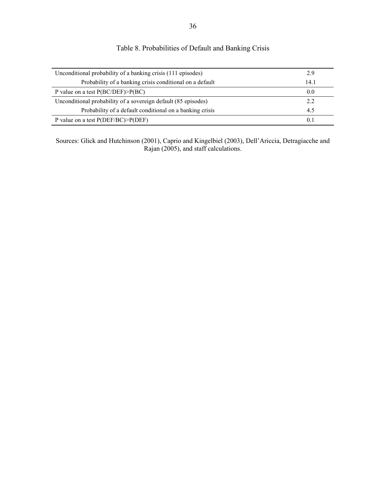| Unconditional probability of a banking crisis (111 episodes)   |      |  |  |  |  |
|----------------------------------------------------------------|------|--|--|--|--|
| Probability of a banking crisis conditional on a default       | 14.1 |  |  |  |  |
| P value on a test $P(BC/DEF) > P(BC)$                          | 0.0  |  |  |  |  |
| Unconditional probability of a sovereign default (85 episodes) | 2.2  |  |  |  |  |
| Probability of a default conditional on a banking crisis       | 4.5  |  |  |  |  |
| P value on a test $P(\text{DEF}/BC) > P(\text{DEF})$           | 0.1  |  |  |  |  |

Table 8. Probabilities of Default and Banking Crisis

Sources: Glick and Hutchinson (2001), Caprio and Kingelbiel (2003), Dell'Ariccia, Detragiacche and Rajan (2005), and staff calculations.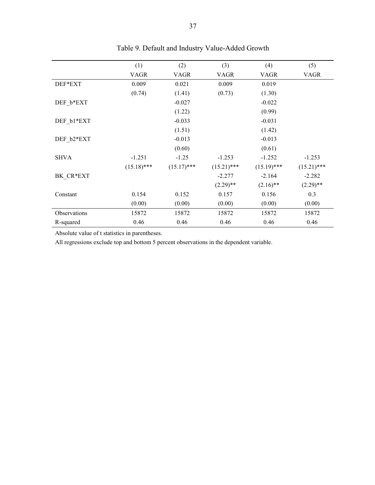|              | (1)           | (2)           | (3)           | (4)           | (5)           |
|--------------|---------------|---------------|---------------|---------------|---------------|
|              | <b>VAGR</b>   | <b>VAGR</b>   | <b>VAGR</b>   | <b>VAGR</b>   | <b>VAGR</b>   |
| DEF*EXT      | 0.009         | 0.021         | 0.009         | 0.019         |               |
|              | (0.74)        | (1.41)        | (0.73)        | (1.30)        |               |
| DEF b*EXT    |               | $-0.027$      |               | $-0.022$      |               |
|              |               | (1.22)        |               | (0.99)        |               |
| DEF b1*EXT   |               | $-0.033$      |               | $-0.031$      |               |
|              |               | (1.51)        |               | (1.42)        |               |
| DEF b2*EXT   |               | $-0.013$      |               | $-0.013$      |               |
|              |               | (0.60)        |               | (0.61)        |               |
| <b>SHVA</b>  | $-1.251$      | $-1.25$       | $-1.253$      | $-1.252$      | $-1.253$      |
|              | $(15.18)$ *** | $(15.17)$ *** | $(15.21)$ *** | $(15.19)$ *** | $(15.21)$ *** |
| BK CR*EXT    |               |               | $-2.277$      | $-2.164$      | $-2.282$      |
|              |               |               | $(2.29)$ **   | $(2.16)$ **   | $(2.29)$ **   |
| Constant     | 0.154         | 0.152         | 0.157         | 0.156         | 0.3           |
|              | (0.00)        | (0.00)        | (0.00)        | (0.00)        | (0.00)        |
| Observations | 15872         | 15872         | 15872         | 15872         | 15872         |
| R-squared    | 0.46          | 0.46          | 0.46          | 0.46          | 0.46          |

Table 9. Default and Industry Value-Added Growth

Absolute value of t statistics in parentheses.

All regressions exclude top and bottom 5 percent observations in the dependent variable.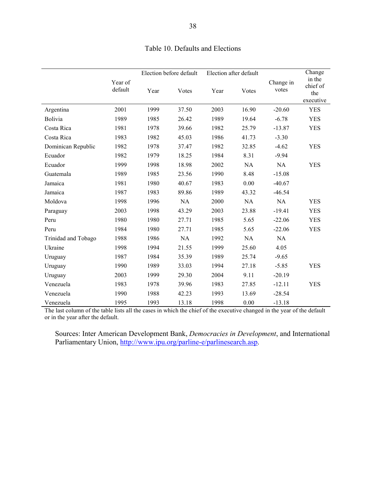|                     |                    | Election before default |       |      | Election after default |                    | Change                                 |
|---------------------|--------------------|-------------------------|-------|------|------------------------|--------------------|----------------------------------------|
|                     | Year of<br>default | Year                    | Votes | Year | Votes                  | Change in<br>votes | in the<br>chief of<br>the<br>executive |
| Argentina           | 2001               | 1999                    | 37.50 | 2003 | 16.90                  | $-20.60$           | <b>YES</b>                             |
| <b>Bolivia</b>      | 1989               | 1985                    | 26.42 | 1989 | 19.64                  | $-6.78$            | <b>YES</b>                             |
| Costa Rica          | 1981               | 1978                    | 39.66 | 1982 | 25.79                  | $-13.87$           | <b>YES</b>                             |
| Costa Rica          | 1983               | 1982                    | 45.03 | 1986 | 41.73                  | $-3.30$            |                                        |
| Dominican Republic  | 1982               | 1978                    | 37.47 | 1982 | 32.85                  | $-4.62$            | <b>YES</b>                             |
| Ecuador             | 1982               | 1979                    | 18.25 | 1984 | 8.31                   | $-9.94$            |                                        |
| Ecuador             | 1999               | 1998                    | 18.98 | 2002 | NA                     | NA                 | <b>YES</b>                             |
| Guatemala           | 1989               | 1985                    | 23.56 | 1990 | 8.48                   | $-15.08$           |                                        |
| Jamaica             | 1981               | 1980                    | 40.67 | 1983 | 0.00                   | $-40.67$           |                                        |
| Jamaica             | 1987               | 1983                    | 89.86 | 1989 | 43.32                  | $-46.54$           |                                        |
| Moldova             | 1998               | 1996                    | NA    | 2000 | NA                     | NA                 | <b>YES</b>                             |
| Paraguay            | 2003               | 1998                    | 43.29 | 2003 | 23.88                  | $-19.41$           | <b>YES</b>                             |
| Peru                | 1980               | 1980                    | 27.71 | 1985 | 5.65                   | $-22.06$           | <b>YES</b>                             |
| Peru                | 1984               | 1980                    | 27.71 | 1985 | 5.65                   | $-22.06$           | <b>YES</b>                             |
| Trinidad and Tobago | 1988               | 1986                    | NA    | 1992 | NA                     | NA                 |                                        |
| Ukraine             | 1998               | 1994                    | 21.55 | 1999 | 25.60                  | 4.05               |                                        |
| Uruguay             | 1987               | 1984                    | 35.39 | 1989 | 25.74                  | $-9.65$            |                                        |
| Uruguay             | 1990               | 1989                    | 33.03 | 1994 | 27.18                  | $-5.85$            | <b>YES</b>                             |
| Uruguay             | 2003               | 1999                    | 29.30 | 2004 | 9.11                   | $-20.19$           |                                        |
| Venezuela           | 1983               | 1978                    | 39.96 | 1983 | 27.85                  | $-12.11$           | <b>YES</b>                             |
| Venezuela           | 1990               | 1988                    | 42.23 | 1993 | 13.69                  | $-28.54$           |                                        |
| Venezuela           | 1995               | 1993                    | 13.18 | 1998 | 0.00                   | $-13.18$           |                                        |

### Table 10. Defaults and Elections

The last column of the table lists all the cases in which the chief of the executive changed in the year of the default or in the year after the default.

Sources: Inter American Development Bank, *Democracies in Development*, and International Parliamentary Union, http://www.ipu.org/parline-e/parlinesearch.asp.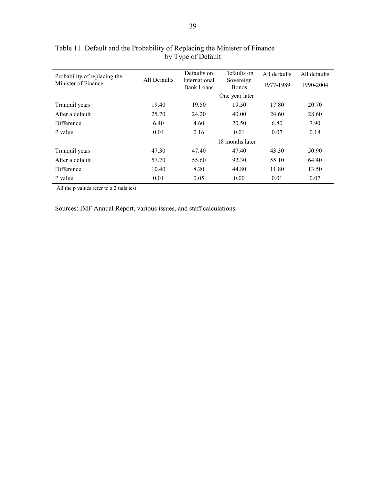| Probability of replacing the |              | Defaults on                        | Defaults on               | All defaults | All defaults |
|------------------------------|--------------|------------------------------------|---------------------------|--------------|--------------|
| Minister of Finance          | All Defaults | International<br><b>Bank Loans</b> | Sovereign<br><b>Bonds</b> | 1977-1989    | 1990-2004    |
|                              |              |                                    | One year later            |              |              |
| Tranquil years               | 19.40        | 19.50                              | 19.50                     | 17.80        | 20.70        |
| After a default              | 25.70        | 24.20                              | 40.00                     | 24.60        | 28.60        |
| <b>Difference</b>            | 6.40         | 4.60                               | 20.50                     | 6.80         | 7.90         |
| P value                      | 0.04         | 0.16                               | 0.01                      | 0.07         | 0.18         |
|                              |              |                                    | 18 months later           |              |              |
| Tranquil years               | 47.30        | 47.40                              | 47.40                     | 43.30        | 50.90        |
| After a default              | 57.70        | 55.60                              | 92.30                     | 55.10        | 64.40        |
| Difference                   | 10.40        | 8.20                               | 44.80                     | 11.80        | 13.50        |
| P value                      | 0.01         | 0.05                               | 0.00                      | 0.01         | 0.07         |

### Table 11. Default and the Probability of Replacing the Minister of Finance by Type of Default

All the p values refer to a 2 tails test

Sources: IMF Annual Report, various issues, and staff calculations.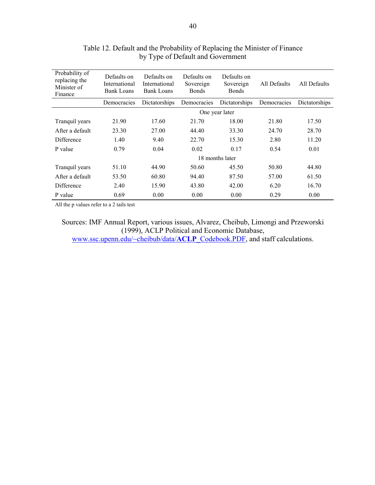| Probability of<br>replacing the<br>Minister of<br>Finance | Defaults on<br>International<br><b>Bank Loans</b> | Defaults on<br>International<br><b>Bank Loans</b> | Defaults on<br>Sovereign<br><b>Bonds</b> | Defaults on<br>Sovereign<br><b>Bonds</b> | All Defaults | All Defaults  |
|-----------------------------------------------------------|---------------------------------------------------|---------------------------------------------------|------------------------------------------|------------------------------------------|--------------|---------------|
|                                                           | Democracies                                       | Dictatorships                                     | Democracies                              | Dictatorships                            | Democracies  | Dictatorships |
|                                                           |                                                   |                                                   |                                          | One year later                           |              |               |
| Tranquil years                                            | 21.90                                             | 17.60                                             | 21.70                                    | 18.00                                    | 21.80        | 17.50         |
| After a default                                           | 23.30                                             | 27.00                                             | 44.40                                    | 33.30                                    | 24.70        | 28.70         |
| Difference                                                | 1.40                                              | 9.40                                              | 22.70                                    | 15.30                                    | 2.80         | 11.20         |
| P value                                                   | 0.79                                              | 0.04                                              | 0.02                                     | 0.17                                     | 0.54         | 0.01          |
|                                                           |                                                   |                                                   |                                          | 18 months later                          |              |               |
| Tranquil years                                            | 51.10                                             | 44.90                                             | 50.60                                    | 45.50                                    | 50.80        | 44.80         |
| After a default                                           | 53.50                                             | 60.80                                             | 94.40                                    | 87.50                                    | 57.00        | 61.50         |
| Difference                                                | 2.40                                              | 15.90                                             | 43.80                                    | 42.00                                    | 6.20         | 16.70         |
| P value                                                   | 0.69                                              | 0.00                                              | 0.00                                     | 0.00                                     | 0.29         | 0.00          |

Table 12. Default and the Probability of Replacing the Minister of Finance by Type of Default and Government

All the p values refer to a 2 tails test

Sources: IMF Annual Report, various issues, Alvarez, Cheibub, Limongi and Przeworski (1999), ACLP Political and Economic Database, www.ssc.upenn.edu/~cheibub/data/**ACLP**\_Codebook.PDF, and staff calculations.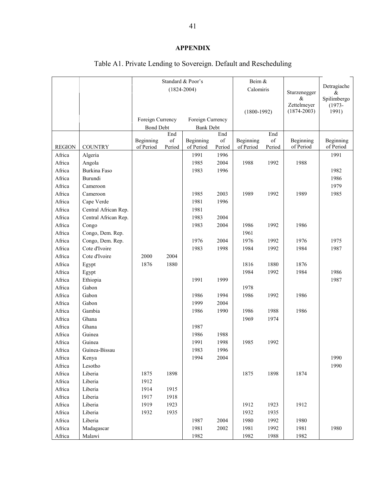### **APPENDIX**

#### Standard  $& Poor's$  Beim  $&$ (1824-2004) Calomiris (1800-1992) Sturzenegger  $\&$ Zettelmeyer  $(1874 - 2003)$ Detragiache & Spilimbergo (1973-  $(1991)$ Foreign Currency Foreign Currency **Bond Debt** Bank Debt REGION | COUNTRY Beginning of Period End of Period Beginning of Period End of Period Beginning of Period End of Period Beginning of Period Beginning of Period Africa | Algeria 1991 1991 1996 | 1991 1992 | 1991 1991 Africa Angola 1985 2004 1988 1992 1988 Africa | Burkina Faso 1982 | 1983 1996 | 1982 | 1982 | 1982 Africa Burundi 1986 Africa Cameroon 1979 Africa Cameroon 1985 2003 1989 1992 1989 1985 1989 1985 Africa Cape Verde 1981 1981 1996 Africa Central African Rep. 1981 Africa Central African Rep. 1983 2004 Africa Congo 1983 2004 1986 1992 1986 Africa Congo, Dem. Rep. 1961 Africa Congo, Dem. Rep. 1976 1976 2004 1976 1992 1976 1975 Africa Cote d'Ivoire 1983 1998 1984 1992 1984 1987 Africa Cote d'Ivoire 1 2000 2004 Africa Egypt 1876 1880 1816 1880 1876 Africa Egypt 1986 1986 1986 1984 1984 1986 Africa Ethiopia 1991 1991 1999 1987 Africa Gabon 1978 Africa Gabon 1986 1994 1986 1992 1986 Africa Gabon 1999 2004 Africa Gambia 1986 1990 1986 1988 1986 Africa Ghana 1969 1974 Africa Ghana 1987 Africa Guinea 1986 1988 Africa | Guinea | 1991 1992 | 1985 1992 Africa Guinea-Bissau 1996 Africa | Kenya 1994 | 1994 2004 | 1990 | 1990 | 1990 | 1990 | 1990 | 1990 | 1990 | 1990 | 1990 | 1990 | 1990 | Africa Lesotho 1990 Africa | Liberia | 1875 1898 | 1875 1898 | 1874 Africa Liberia 1912 Africa Liberia 1914 1915 Africa Liberia 1917 1918 Africa | Liberia | 1919 1923 | 1912 1923 | 1912 Africa Liberia 1932 1935 1935 1932 1935 Africa | Liberia | 1987 2004 | 1980 1992 | 1980 Africa | Madagascar 1981 1981 2002 | 1981 1992 | 1981 | 1980 Africa Malawi 1982 1982 1988 1982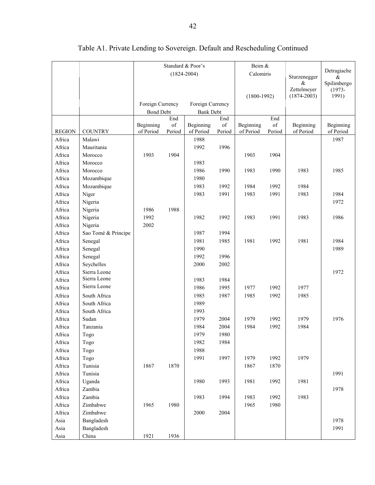|                  |                     | Standard & Poor's      |                 |                        |              | Beim &                 |                      |                        |                        |
|------------------|---------------------|------------------------|-----------------|------------------------|--------------|------------------------|----------------------|------------------------|------------------------|
|                  |                     |                        | $(1824 - 2004)$ |                        |              | Calomiris              |                      |                        | Detragiache            |
|                  |                     |                        |                 |                        |              |                        |                      | Sturzenegger<br>&      | $\&$<br>Spilimbergo    |
|                  |                     |                        |                 |                        |              |                        |                      | Zettelmeyer            | $(1973 -$              |
|                  |                     |                        |                 |                        |              | $(1800-1992)$          |                      | $(1874 - 2003)$        | 1991)                  |
|                  |                     | Foreign Currency       |                 | Foreign Currency       |              |                        |                      |                        |                        |
|                  |                     | <b>Bond Debt</b>       |                 | <b>Bank Debt</b>       |              |                        |                      |                        |                        |
|                  |                     |                        | End             |                        | End          |                        | End                  |                        |                        |
| <b>REGION</b>    | <b>COUNTRY</b>      | Beginning<br>of Period | of<br>Period    | Beginning<br>of Period | of<br>Period | Beginning<br>of Period | $\sigma f$<br>Period | Beginning<br>of Period | Beginning<br>of Period |
| Africa           | Malawi              |                        |                 | 1988                   |              |                        |                      |                        | 1987                   |
| Africa           | Mauritania          |                        |                 | 1992                   | 1996         |                        |                      |                        |                        |
| Africa           | Morocco             | 1903                   | 1904            |                        |              | 1903                   | 1904                 |                        |                        |
| Africa           | Morocco             |                        |                 | 1983                   |              |                        |                      |                        |                        |
| Africa           | Morocco             |                        |                 | 1986                   | 1990         | 1983                   | 1990                 | 1983                   | 1985                   |
| Africa           | Mozambique          |                        |                 | 1980                   |              |                        |                      |                        |                        |
| Africa           | Mozambique          |                        |                 | 1983                   | 1992         | 1984                   | 1992                 | 1984                   |                        |
| Africa           | Niger               |                        |                 | 1983                   | 1991         | 1983                   | 1991                 | 1983                   | 1984                   |
| Africa           | Nigeria             |                        |                 |                        |              |                        |                      |                        | 1972                   |
| Africa           | Nigeria             | 1986                   | 1988            |                        |              |                        |                      |                        |                        |
| Africa           | Nigeria             | 1992                   |                 | 1982                   | 1992         | 1983                   | 1991                 | 1983                   | 1986                   |
| Africa           | Nigeria             | 2002                   |                 |                        |              |                        |                      |                        |                        |
| Africa           | Sao Tomé & Principe |                        |                 | 1987                   | 1994         |                        |                      |                        |                        |
| Africa           | Senegal             |                        |                 | 1981                   | 1985         | 1981                   | 1992                 | 1981                   | 1984                   |
| Africa           | Senegal             |                        |                 | 1990                   |              |                        |                      |                        | 1989                   |
| Africa           | Senegal             |                        |                 | 1992                   | 1996         |                        |                      |                        |                        |
| Africa           | Seychelles          |                        |                 | 2000                   | 2002         |                        |                      |                        |                        |
| Africa           | Sierra Leone        |                        |                 |                        |              |                        |                      |                        | 1972                   |
| Africa           | Sierra Leone        |                        |                 | 1983                   | 1984         |                        |                      |                        |                        |
| Africa           | Sierra Leone        |                        |                 | 1986                   | 1995         | 1977                   | 1992                 | 1977                   |                        |
| Africa           | South Africa        |                        |                 | 1985                   | 1987         | 1985                   | 1992                 | 1985                   |                        |
| Africa           | South Africa        |                        |                 | 1989                   |              |                        |                      |                        |                        |
| Africa           | South Africa        |                        |                 | 1993                   |              |                        |                      |                        |                        |
| Africa           | Sudan               |                        |                 | 1979                   | 2004         | 1979                   | 1992                 | 1979                   | 1976                   |
| Africa           | Tanzania            |                        |                 | 1984                   | 2004         | 1984                   | 1992                 | 1984                   |                        |
| Africa           |                     |                        |                 | 1979                   | 1980         |                        |                      |                        |                        |
| Africa           | Togo                |                        |                 | 1982                   | 1984         |                        |                      |                        |                        |
| Africa           | Togo<br>Togo        |                        |                 | 1988                   |              |                        |                      |                        |                        |
| Africa           | Togo                |                        |                 | 1991                   | 1997         | 1979                   | 1992                 | 1979                   |                        |
|                  | Tunisia             | 1867                   |                 |                        |              |                        | 1870                 |                        |                        |
| Africa<br>Africa | Tunisia             |                        | 1870            |                        |              | 1867                   |                      |                        | 1991                   |
| Africa           | Uganda              |                        |                 | 1980                   | 1993         | 1981                   | 1992                 | 1981                   |                        |
| Africa           | Zambia              |                        |                 |                        |              |                        |                      |                        | 1978                   |
| Africa           | Zambia              |                        |                 | 1983                   | 1994         | 1983                   | 1992                 | 1983                   |                        |
|                  | Zimbabwe            | 1965                   | 1980            |                        |              | 1965                   |                      |                        |                        |
| Africa<br>Africa | Zimbabwe            |                        |                 | 2000                   | 2004         |                        | 1980                 |                        |                        |
| Asia             | Bangladesh          |                        |                 |                        |              |                        |                      |                        | 1978                   |
|                  |                     |                        |                 |                        |              |                        |                      |                        |                        |
|                  |                     |                        |                 |                        |              |                        |                      |                        |                        |
| Asia<br>Asia     | Bangladesh<br>China | 1921                   | 1936            |                        |              |                        |                      |                        | 1991                   |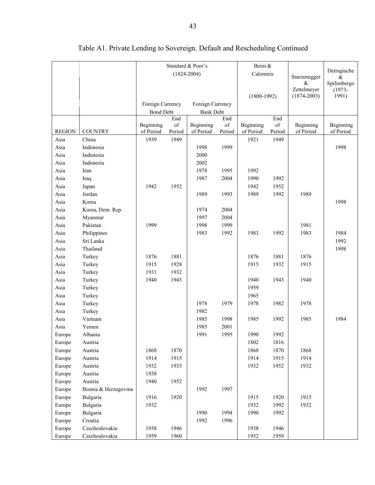|               |                      | Standard & Poor's      |              |                        |              | Beim &                 |              |                        |                        |
|---------------|----------------------|------------------------|--------------|------------------------|--------------|------------------------|--------------|------------------------|------------------------|
|               |                      |                        |              | $(1824 - 2004)$        |              | Calomiris              |              |                        | Detragiache            |
|               |                      |                        |              |                        |              |                        |              | Sturzenegger<br>&      | $\&$<br>Spilimbergo    |
|               |                      |                        |              |                        |              |                        |              | Zettelmeyer            | $(1973 -$              |
|               |                      |                        |              |                        |              | $(1800-1992)$          |              | $(1874 - 2003)$        | 1991)                  |
|               |                      | Foreign Currency       |              | Foreign Currency       |              |                        |              |                        |                        |
|               |                      | <b>Bond Debt</b>       |              | <b>Bank Debt</b>       |              |                        |              |                        |                        |
|               |                      |                        | End          |                        | End          |                        | End          |                        |                        |
| <b>REGION</b> | <b>COUNTRY</b>       | Beginning<br>of Period | of<br>Period | Beginning<br>of Period | of<br>Period | Beginning<br>of Period | of<br>Period | Beginning<br>of Period | Beginning<br>of Period |
| Asia          | China                | 1939                   | 1949         |                        |              | 1921                   | 1949         |                        |                        |
| Asia          | Indonesia            |                        |              | 1998                   | 1999         |                        |              |                        | 1998                   |
| Asia          | Indonesia            |                        |              | 2000                   |              |                        |              |                        |                        |
| Asia          | Indonesia            |                        |              | 2002                   |              |                        |              |                        |                        |
| Asia          | Iran                 |                        |              | 1978                   | 1995         | 1992                   |              |                        |                        |
| Asia          |                      |                        |              | 1987                   | 2004         | 1990                   | 1992         |                        |                        |
|               | Iraq                 |                        |              |                        |              |                        |              |                        |                        |
| Asia          | Japan<br>Jordan      | 1942                   | 1952         | 1989                   | 1993         | 1942<br>1989           | 1952<br>1992 | 1989                   |                        |
| Asia<br>Asia  | Korea                |                        |              |                        |              |                        |              |                        | 1998                   |
|               |                      |                        |              |                        |              |                        |              |                        |                        |
| Asia          | Korea, Dem. Rep.     |                        |              | 1974                   | 2004         |                        |              |                        |                        |
| Asia          | Myanmar              |                        |              | 1997                   | 2004         |                        |              |                        |                        |
| Asia          | Pakistan             | 1999                   |              | 1998                   | 1999         |                        |              | 1981                   |                        |
| Asia          | Philippines          |                        |              | 1983                   | 1992         | 1983                   | 1992         | 1983                   | 1984                   |
| Asia          | Sri Lanka            |                        |              |                        |              |                        |              |                        | 1992                   |
| Asia          | Thailand             |                        |              |                        |              |                        |              |                        | 1998                   |
| Asia          | Turkey               | 1876                   | 1881         |                        |              | 1876                   | 1881         | 1876                   |                        |
| Asia          | Turkey               | 1915                   | 1928         |                        |              | 1915                   | 1932         | 1915                   |                        |
| Asia          | Turkey               | 1931                   | 1932         |                        |              |                        |              |                        |                        |
| Asia          | Turkey               | 1940                   | 1943         |                        |              | 1940                   | 1943         | 1940                   |                        |
| Asia          | Turkey               |                        |              |                        |              | 1959                   |              |                        |                        |
| Asia          | Turkey               |                        |              |                        |              | 1965                   |              |                        |                        |
| Asia          | Turkey               |                        |              | 1978                   | 1979         | 1978                   | 1982         | 1978                   |                        |
| Asia          | Turkey               |                        |              | 1982                   |              |                        |              |                        |                        |
| Asia          | Vietnam              |                        |              | 1985                   | 1998         | 1985                   | 1992         | 1985                   | 1984                   |
| Asia          | Yemen                |                        |              | 1985                   | 2001         |                        |              |                        |                        |
| Europe        | Albania              |                        |              | 1991                   | 1995         | 1990                   | 1992         |                        |                        |
| Europe        | Austria              |                        |              |                        |              | 1802                   | 1816         |                        |                        |
| Europe        | Austria              | 1868                   | 1870         |                        |              | 1868                   | 1870         | 1868                   |                        |
| Europe        | Austria              | 1914                   | 1915         |                        |              | 1914                   | 1915         | 1914                   |                        |
| Europe        | Austria              | 1932                   | 1933         |                        |              | 1932                   | 1952         | 1932                   |                        |
| Europe        | Austria              | 1938                   |              |                        |              |                        |              |                        |                        |
| Europe        | Austria              | 1940                   | 1952         |                        |              |                        |              |                        |                        |
| Europe        | Bosnia & Herzegovina |                        |              | 1992                   | 1997         |                        |              |                        |                        |
| Europe        | Bulgaria             | 1916                   | 1920         |                        |              | 1915                   | 1920         | 1915                   |                        |
| Europe        | Bulgaria             | 1932                   |              |                        |              | 1932                   | 1992         | 1932                   |                        |
| Europe        | Bulgaria             |                        |              | 1990                   | 1994         | 1990                   | 1992         |                        |                        |
| Europe        | Croatia              |                        |              | 1992                   | 1996         |                        |              |                        |                        |
| Europe        | Czechoslovakia       | 1938                   | 1946         |                        |              | 1938                   | 1946         |                        |                        |
| Europe        | Czechoslovakia       | 1959                   | 1960         |                        |              | 1952                   | 1959         |                        |                        |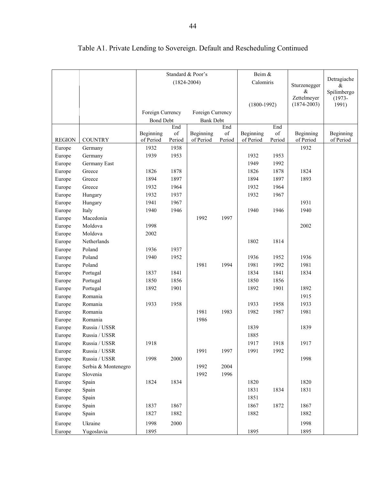|               |                     |                  |            | Standard & Poor's |                                                                                                    | Beim &        |            |                 |                  |
|---------------|---------------------|------------------|------------|-------------------|----------------------------------------------------------------------------------------------------|---------------|------------|-----------------|------------------|
|               |                     |                  |            | $(1824 - 2004)$   |                                                                                                    | Calomiris     |            | Sturzenegger    | Detragiache<br>& |
|               |                     |                  |            |                   |                                                                                                    |               |            | $\&$            | Spilimbergo      |
|               |                     |                  |            |                   |                                                                                                    |               |            | Zettelmeyer     | $(1973 -$        |
|               |                     |                  |            |                   |                                                                                                    | $(1800-1992)$ |            | $(1874 - 2003)$ | 1991)            |
|               |                     | Foreign Currency |            | Foreign Currency  |                                                                                                    |               |            |                 |                  |
|               |                     | <b>Bond Debt</b> | End        | <b>Bank Debt</b>  | End                                                                                                |               | End        |                 |                  |
|               |                     | Beginning        | $\sigma f$ | Beginning         | $% \left( \left( \mathcal{A},\mathcal{A}\right) \right) =\left( \mathcal{A},\mathcal{A}\right)$ of | Beginning     | $\sigma f$ | Beginning       | Beginning        |
| <b>REGION</b> | <b>COUNTRY</b>      | of Period        | Period     | of Period         | Period                                                                                             | of Period     | Period     | of Period       | of Period        |
| Europe        | Germany             | 1932             | 1938       |                   |                                                                                                    |               |            | 1932            |                  |
| Europe        | Germany             | 1939             | 1953       |                   |                                                                                                    | 1932          | 1953       |                 |                  |
| Europe        | Germany East        |                  |            |                   |                                                                                                    | 1949          | 1992       |                 |                  |
| Europe        | Greece              | 1826             | 1878       |                   |                                                                                                    | 1826          | 1878       | 1824            |                  |
| Europe        | Greece              | 1894             | 1897       |                   |                                                                                                    | 1894          | 1897       | 1893            |                  |
| Europe        | Greece              | 1932             | 1964       |                   |                                                                                                    | 1932          | 1964       |                 |                  |
| Europe        | Hungary             | 1932             | 1937       |                   |                                                                                                    | 1932          | 1967       |                 |                  |
| Europe        | Hungary             | 1941             | 1967       |                   |                                                                                                    |               |            | 1931            |                  |
| Europe        | Italy               | 1940             | 1946       |                   |                                                                                                    | 1940          | 1946       | 1940            |                  |
| Europe        | Macedonia           |                  |            | 1992              | 1997                                                                                               |               |            |                 |                  |
| Europe        | Moldova             | 1998             |            |                   |                                                                                                    |               |            | 2002            |                  |
| Europe        | Moldova             | 2002             |            |                   |                                                                                                    |               |            |                 |                  |
| Europe        | Netherlands         |                  |            |                   |                                                                                                    | 1802          | 1814       |                 |                  |
| Europe        | Poland              | 1936             | 1937       |                   |                                                                                                    |               |            |                 |                  |
| Europe        | Poland              | 1940             | 1952       |                   |                                                                                                    | 1936          | 1952       | 1936            |                  |
| Europe        | Poland              |                  |            | 1981              | 1994                                                                                               | 1981          | 1992       | 1981            |                  |
| Europe        | Portugal            | 1837             | 1841       |                   |                                                                                                    | 1834          | 1841       | 1834            |                  |
| Europe        | Portugal            | 1850             | 1856       |                   |                                                                                                    | 1850          | 1856       |                 |                  |
| Europe        | Portugal            | 1892             | 1901       |                   |                                                                                                    | 1892          | 1901       | 1892            |                  |
| Europe        | Romania             |                  |            |                   |                                                                                                    |               |            | 1915            |                  |
| Europe        | Romania             | 1933             | 1958       |                   |                                                                                                    | 1933          | 1958       | 1933            |                  |
| Europe        | Romania             |                  |            | 1981              | 1983                                                                                               | 1982          | 1987       | 1981            |                  |
| Europe        | Romania             |                  |            | 1986              |                                                                                                    |               |            |                 |                  |
| Europe        | Russia / USSR       |                  |            |                   |                                                                                                    | 1839          |            | 1839            |                  |
| Europe        | Russia / USSR       |                  |            |                   |                                                                                                    | 1885          |            |                 |                  |
| Europe        | Russia / USSR       | 1918             |            |                   |                                                                                                    | 1917          | 1918       | 1917            |                  |
| Europe        | Russia / USSR       |                  |            | 1991              | 1997                                                                                               | 1991          | 1992       |                 |                  |
| Europe        | Russia / USSR       | 1998             | 2000       |                   |                                                                                                    |               |            | 1998            |                  |
| Europe        | Serbia & Montenegro |                  |            | 1992              | 2004                                                                                               |               |            |                 |                  |
| Europe        | Slovenia            |                  |            | 1992              | 1996                                                                                               |               |            |                 |                  |
| Europe        | Spain               | 1824             | 1834       |                   |                                                                                                    | 1820          |            | 1820            |                  |
| Europe        | Spain               |                  |            |                   |                                                                                                    | 1831          | 1834       | 1831            |                  |
| Europe        | Spain               |                  |            |                   |                                                                                                    | 1851          |            |                 |                  |
| Europe        | Spain               | 1837             | 1867       |                   |                                                                                                    | 1867          | 1872       | 1867            |                  |
| Europe        | Spain               | 1827             | 1882       |                   |                                                                                                    | 1882          |            | 1882            |                  |
| Europe        | Ukraine             | 1998             | 2000       |                   |                                                                                                    |               |            | 1998            |                  |
| Europe        | Yugoslavia          | 1895             |            |                   |                                                                                                    | 1895          |            | 1895            |                  |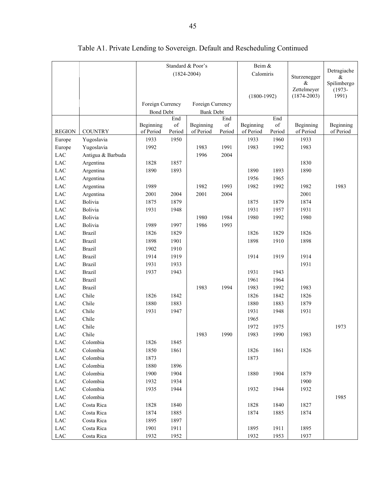|               |                   | Standard & Poor's      |                                                                                                           |                        |           | Beim &                 |           |                 |                     |
|---------------|-------------------|------------------------|-----------------------------------------------------------------------------------------------------------|------------------------|-----------|------------------------|-----------|-----------------|---------------------|
|               |                   |                        |                                                                                                           | $(1824 - 2004)$        |           | Calomiris              |           | Sturzenegger    | Detragiache         |
|               |                   |                        |                                                                                                           |                        |           |                        |           | &               | $\&$<br>Spilimbergo |
|               |                   |                        |                                                                                                           |                        |           |                        |           | Zettelmeyer     | $(1973 -$           |
|               |                   |                        |                                                                                                           |                        |           | $(1800-1992)$          |           | $(1874 - 2003)$ | 1991)               |
|               |                   | Foreign Currency       |                                                                                                           | Foreign Currency       |           |                        |           |                 |                     |
|               |                   | <b>Bond Debt</b>       |                                                                                                           | <b>Bank Debt</b>       |           |                        |           |                 |                     |
|               |                   |                        | End<br>$% \left( \left( \mathcal{A},\mathcal{A}\right) \right) =\left( \mathcal{A},\mathcal{A}\right)$ of |                        | End<br>of |                        | End<br>of | Beginning       | Beginning           |
| <b>REGION</b> | <b>COUNTRY</b>    | Beginning<br>of Period | Period                                                                                                    | Beginning<br>of Period | Period    | Beginning<br>of Period | Period    | of Period       | of Period           |
| Europe        | Yugoslavia        | 1933                   | 1950                                                                                                      |                        |           | 1933                   | 1960      | 1933            |                     |
| Europe        | Yugoslavia        | 1992                   |                                                                                                           | 1983                   | 1991      | 1983                   | 1992      | 1983            |                     |
| LAC           | Antigua & Barbuda |                        |                                                                                                           | 1996                   | 2004      |                        |           |                 |                     |
| LAC           | Argentina         | 1828                   | 1857                                                                                                      |                        |           |                        |           | 1830            |                     |
| LAC           | Argentina         | 1890                   | 1893                                                                                                      |                        |           | 1890                   | 1893      | 1890            |                     |
| <b>LAC</b>    | Argentina         |                        |                                                                                                           |                        |           | 1956                   | 1965      |                 |                     |
| LAC           | Argentina         | 1989                   |                                                                                                           | 1982                   | 1993      | 1982                   | 1992      | 1982            | 1983                |
| LAC           | Argentina         | 2001                   | 2004                                                                                                      | 2001                   | 2004      |                        |           | 2001            |                     |
| LAC           | Bolivia           | 1875                   | 1879                                                                                                      |                        |           | 1875                   | 1879      | 1874            |                     |
| LAC           | Bolivia           | 1931                   | 1948                                                                                                      |                        |           | 1931                   | 1957      | 1931            |                     |
| LAC           | Bolivia           |                        |                                                                                                           | 1980                   | 1984      | 1980                   | 1992      | 1980            |                     |
| LAC           | Bolivia           | 1989                   | 1997                                                                                                      | 1986                   | 1993      |                        |           |                 |                     |
| LAC           | <b>Brazil</b>     | 1826                   | 1829                                                                                                      |                        |           | 1826                   | 1829      | 1826            |                     |
| LAC           | <b>Brazil</b>     | 1898                   | 1901                                                                                                      |                        |           | 1898                   | 1910      | 1898            |                     |
| LAC           | <b>Brazil</b>     | 1902                   | 1910                                                                                                      |                        |           |                        |           |                 |                     |
| <b>LAC</b>    | <b>Brazil</b>     | 1914                   | 1919                                                                                                      |                        |           | 1914                   | 1919      | 1914            |                     |
| LAC           | <b>Brazil</b>     | 1931                   | 1933                                                                                                      |                        |           |                        |           | 1931            |                     |
| LAC           | <b>Brazil</b>     | 1937                   | 1943                                                                                                      |                        |           | 1931                   | 1943      |                 |                     |
| LAC           | <b>Brazil</b>     |                        |                                                                                                           |                        |           | 1961                   | 1964      |                 |                     |
| LAC           | <b>Brazil</b>     |                        |                                                                                                           | 1983                   | 1994      | 1983                   | 1992      | 1983            |                     |
| LAC           | Chile             | 1826                   | 1842                                                                                                      |                        |           | 1826                   | 1842      | 1826            |                     |
| LAC           | Chile             | 1880                   | 1883                                                                                                      |                        |           | 1880                   | 1883      | 1879            |                     |
| LAC           | Chile             | 1931                   | 1947                                                                                                      |                        |           | 1931                   | 1948      | 1931            |                     |
| LAC           | Chile             |                        |                                                                                                           |                        |           | 1965                   |           |                 |                     |
| LAC           | Chile             |                        |                                                                                                           |                        |           | 1972                   | 1975      |                 | 1973                |
| LAC           | Chile             |                        |                                                                                                           | 1983                   | 1990      | 1983                   | 1990      | 1983            |                     |
| $_{\rm LAC}$  | Colombia          | 1826                   | 1845                                                                                                      |                        |           |                        |           |                 |                     |
| ${\rm LAC}$   | Colombia          | 1850                   | 1861                                                                                                      |                        |           | 1826                   | 1861      | 1826            |                     |
| LAC           | Colombia          | 1873                   |                                                                                                           |                        |           | 1873                   |           |                 |                     |
| ${\rm LAC}$   | Colombia          | 1880                   | 1896                                                                                                      |                        |           |                        |           |                 |                     |
| ${\rm LAC}$   | Colombia          | 1900                   | 1904                                                                                                      |                        |           | 1880                   | 1904      | 1879            |                     |
| $_{\rm LAC}$  | Colombia          | 1932                   | 1934                                                                                                      |                        |           |                        |           | 1900            |                     |
| $_{\rm LAC}$  | Colombia          | 1935                   | 1944                                                                                                      |                        |           | 1932                   | 1944      | 1932            |                     |
| $_{\rm LAC}$  | Colombia          |                        |                                                                                                           |                        |           |                        |           |                 | 1985                |
| $_{\rm LAC}$  | Costa Rica        | 1828                   | 1840                                                                                                      |                        |           | 1828                   | 1840      | 1827            |                     |
| $_{\rm LAC}$  | Costa Rica        | 1874                   | 1885                                                                                                      |                        |           | 1874                   | 1885      | 1874            |                     |
| $_{\rm LAC}$  | Costa Rica        | 1895                   | 1897                                                                                                      |                        |           |                        |           |                 |                     |
| ${\rm LAC}$   | Costa Rica        | 1901                   | 1911                                                                                                      |                        |           | 1895                   | 1911      | 1895            |                     |
| $_{\rm LAC}$  | Costa Rica        | 1932                   | 1952                                                                                                      |                        |           | 1932                   | 1953      | 1937            |                     |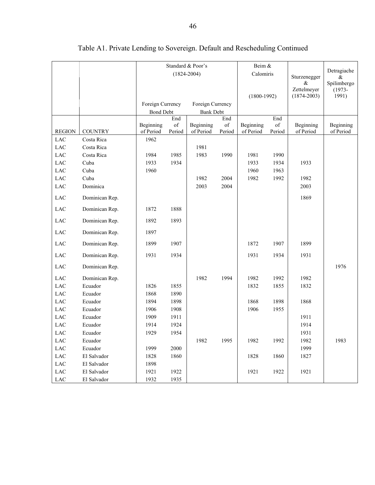|               |                |                        |                 | Standard & Poor's      |              | Beim &                 |                                                                                                              |                        |                        |
|---------------|----------------|------------------------|-----------------|------------------------|--------------|------------------------|--------------------------------------------------------------------------------------------------------------|------------------------|------------------------|
|               |                |                        | $(1824 - 2004)$ |                        |              | Calomiris              |                                                                                                              |                        | Detragiache            |
|               |                |                        |                 |                        |              |                        |                                                                                                              | Sturzenegger<br>$\&$   | &<br>Spilimbergo       |
|               |                |                        |                 |                        |              |                        |                                                                                                              | Zettelmeyer            | $(1973 -$              |
|               |                |                        |                 |                        |              | $(1800-1992)$          |                                                                                                              | $(1874 - 2003)$        | 1991)                  |
|               |                | Foreign Currency       |                 | Foreign Currency       |              |                        |                                                                                                              |                        |                        |
|               |                | <b>Bond Debt</b>       |                 | <b>Bank Debt</b>       |              |                        |                                                                                                              |                        |                        |
|               |                |                        | End             |                        | End          |                        | End                                                                                                          |                        |                        |
| <b>REGION</b> | <b>COUNTRY</b> | Beginning<br>of Period | of<br>Period    | Beginning<br>of Period | of<br>Period | Beginning<br>of Period | $% \left( \left( \mathcal{A},\mathcal{A}\right) \right) =\left( \mathcal{A},\mathcal{A}\right)$ of<br>Period | Beginning<br>of Period | Beginning<br>of Period |
| <b>LAC</b>    | Costa Rica     | 1962                   |                 |                        |              |                        |                                                                                                              |                        |                        |
| <b>LAC</b>    | Costa Rica     |                        |                 | 1981                   |              |                        |                                                                                                              |                        |                        |
| <b>LAC</b>    | Costa Rica     | 1984                   | 1985            | 1983                   | 1990         | 1981                   | 1990                                                                                                         |                        |                        |
| <b>LAC</b>    | Cuba           | 1933                   | 1934            |                        |              | 1933                   | 1934                                                                                                         | 1933                   |                        |
| <b>LAC</b>    | Cuba           | 1960                   |                 |                        |              | 1960                   | 1963                                                                                                         |                        |                        |
| LAC           | Cuba           |                        |                 | 1982                   | 2004         | 1982                   | 1992                                                                                                         | 1982                   |                        |
| LAC           | Dominica       |                        |                 | 2003                   | 2004         |                        |                                                                                                              | 2003                   |                        |
|               |                |                        |                 |                        |              |                        |                                                                                                              |                        |                        |
| <b>LAC</b>    | Dominican Rep. |                        |                 |                        |              |                        |                                                                                                              | 1869                   |                        |
| LAC           | Dominican Rep. | 1872                   | 1888            |                        |              |                        |                                                                                                              |                        |                        |
| LAC           | Dominican Rep. | 1892                   | 1893            |                        |              |                        |                                                                                                              |                        |                        |
| LAC           | Dominican Rep. | 1897                   |                 |                        |              |                        |                                                                                                              |                        |                        |
| <b>LAC</b>    | Dominican Rep. | 1899                   | 1907            |                        |              | 1872                   | 1907                                                                                                         | 1899                   |                        |
| LAC           | Dominican Rep. | 1931                   | 1934            |                        |              | 1931                   | 1934                                                                                                         | 1931                   |                        |
| LAC           | Dominican Rep. |                        |                 |                        |              |                        |                                                                                                              |                        | 1976                   |
| LAC           | Dominican Rep. |                        |                 | 1982                   | 1994         | 1982                   | 1992                                                                                                         | 1982                   |                        |
| LAC           | Ecuador        | 1826                   | 1855            |                        |              | 1832                   | 1855                                                                                                         | 1832                   |                        |
| LAC           | Ecuador        | 1868                   | 1890            |                        |              |                        |                                                                                                              |                        |                        |
| <b>LAC</b>    | Ecuador        | 1894                   | 1898            |                        |              | 1868                   | 1898                                                                                                         | 1868                   |                        |
| LAC           | Ecuador        | 1906                   | 1908            |                        |              | 1906                   | 1955                                                                                                         |                        |                        |
| LAC           | Ecuador        | 1909                   | 1911            |                        |              |                        |                                                                                                              | 1911                   |                        |
| LAC           | Ecuador        | 1914                   | 1924            |                        |              |                        |                                                                                                              | 1914                   |                        |
| <b>LAC</b>    | Ecuador        | 1929                   | 1954            |                        |              |                        |                                                                                                              | 1931                   |                        |
| LAC           | Ecuador        |                        |                 | 1982                   | 1995         | 1982                   | 1992                                                                                                         | 1982                   | 1983                   |
| ${\rm LAC}$   | Ecuador        | 1999                   | 2000            |                        |              |                        |                                                                                                              | 1999                   |                        |
| $_{\rm LAC}$  | El Salvador    | 1828                   | 1860            |                        |              | 1828                   | 1860                                                                                                         | 1827                   |                        |
| $_{\rm LAC}$  | El Salvador    | 1898                   |                 |                        |              |                        |                                                                                                              |                        |                        |
| ${\rm LAC}$   | El Salvador    | 1921                   | 1922            |                        |              | 1921                   | 1922                                                                                                         | 1921                   |                        |
| $_{\rm LAC}$  | El Salvador    | 1932                   | 1935            |                        |              |                        |                                                                                                              |                        |                        |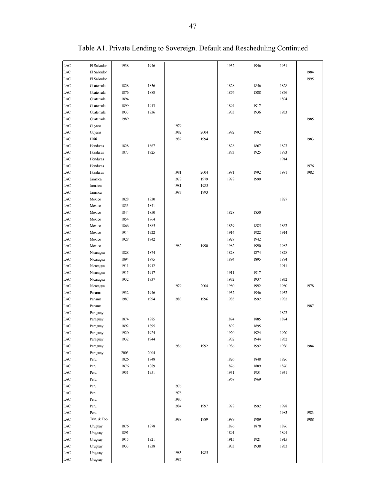| LAC        | El Salvador  | 1938         | 1946         |      |      | 1932         | 1946         | 1931         |      |
|------------|--------------|--------------|--------------|------|------|--------------|--------------|--------------|------|
| LAC        | El Salvador  |              |              |      |      |              |              |              | 1984 |
| LAC        | El Salvador  |              |              |      |      |              |              |              | 1995 |
| LAC        | Guatemala    | 1828         | 1856         |      |      | 1828         | 1856         | 1828         |      |
| LAC        | Guatemala    | 1876         | 1888         |      |      | 1876         | 1888         | 1876         |      |
| LAC        | Guatemala    | 1894         |              |      |      |              |              | 1894         |      |
| LAC        | Guatemala    | 1899         | 1913         |      |      | 1894         | 1917         |              |      |
| LAC        | Guatemala    | 1933         | 1936         |      |      | 1933         | 1936         | 1933         |      |
| LAC        | Guatemala    | 1989         |              |      |      |              |              |              | 1985 |
| LAC        | Guyana       |              |              | 1979 |      |              |              |              |      |
| LAC        | Guyana       |              |              | 1982 | 2004 | 1982         | 1992         |              |      |
| LAC        | Haiti        |              |              | 1982 | 1994 |              |              |              | 1983 |
| LAC        | Honduras     | 1828         | 1867         |      |      | 1828         | 1867         | 1827         |      |
| LAC        | Honduras     | 1873         | 1925         |      |      | 1873         | 1925         | 1873         |      |
| LAC        | Honduras     |              |              |      |      |              |              | 1914         |      |
| LAC        | Honduras     |              |              |      |      |              |              |              | 1976 |
| LAC        | Honduras     |              |              | 1981 | 2004 | 1981         | 1992         | 1981         | 1982 |
| LAC        | Jamaica      |              |              | 1978 | 1979 | 1978         | 1990         |              |      |
| LAC        | Jamaica      |              |              | 1981 | 1985 |              |              |              |      |
| LAC        | Jamaica      |              |              | 1987 | 1993 |              |              |              |      |
| LAC        | Mexico       | 1828         | 1830         |      |      |              |              | 1827         |      |
| LAC        | Mexico       | 1833         | 1841         |      |      |              |              |              |      |
| LAC        | Mexico       | 1844         | 1850         |      |      | 1828         | 1850         |              |      |
| LAC        | Mexico       | 1854         | 1864         |      |      |              |              |              |      |
| LAC        | Mexico       | 1866         | 1885         |      |      | 1859         | 1885         | 1867         |      |
| LAC        | Mexico       | 1914         | 1922         |      |      | 1914         | 1922         | 1914         |      |
| LAC        | Mexico       | 1928         | 1942         |      |      | 1928         | 1942         |              |      |
| LAC        | Mexico       |              |              | 1982 | 1990 | 1982         | 1990         | 1982         |      |
| LAC        | Nicaragua    | 1828         | 1874         |      |      | 1828         | 1874         | 1828         |      |
| LAC        | Nicaragua    | 1894         | 1895         |      |      | 1894         | 1895         | 1894         |      |
| LAC        | Nicaragua    | 1911         | 1912         |      |      |              |              | 1911         |      |
| LAC        | Nicaragua    | 1915         | 1917         |      |      | 1911         | 1917         |              |      |
| LAC        | Nicaragua    | 1932         | 1937         |      |      | 1932         | 1937         | 1932         |      |
| LAC        | Nicaragua    |              |              | 1979 | 2004 | 1980         | 1992         | 1980         | 1978 |
| LAC        | Panama       | 1932         | 1946         |      |      | 1932         | 1946         | 1932         |      |
| LAC        | Panama       | 1987         | 1994         | 1983 | 1996 | 1983         | 1992         | 1982         |      |
| LAC        | Panama       |              |              |      |      |              |              |              | 1987 |
| LAC        | Paraguay     |              |              |      |      |              |              | 1827         |      |
| LAC        | Paraguay     | 1874         | 1885         |      |      | 1874         | 1885         | 1874         |      |
| LAC        | Paraguay     | 1892         | 1895         |      |      | 1892         | 1895         |              |      |
| LAC        | Paraguay     | 1920         | 1924         |      |      | 1920         | 1924         | 1920         |      |
| LAC        | Paraguay     | 1932         | 1944         |      |      | 1932         | 1944         | 1932         |      |
| LAC        | Paraguay     |              |              | 1986 | 1992 | 1986         | 1992         | 1986         | 1984 |
| LAC        | Paraguay     | 2003         | 2004         |      |      |              |              |              |      |
| LAC        | Peru         | 1826         | 1848<br>1889 |      |      | 1826         | 1848         | 1826         |      |
| LAC<br>LAC | Peru         | 1876<br>1931 | 1951         |      |      | 1876<br>1931 | 1889<br>1951 | 1876<br>1931 |      |
| LAC        | Peru<br>Peru |              |              |      |      | 1968         | 1969         |              |      |
| LAC        | Peru         |              |              | 1976 |      |              |              |              |      |
| LAC        | Peru         |              |              | 1978 |      |              |              |              |      |
| LAC        | Peru         |              |              | 1980 |      |              |              |              |      |
| LAC        | Peru         |              |              | 1984 | 1997 | 1978         | 1992         | 1978         |      |
| LAC        | Peru         |              |              |      |      |              |              | 1983         | 1983 |
| LAC        | Trin. & Tob. |              |              | 1988 | 1989 | 1989         | 1989         |              | 1988 |
| LAC        | Uruguay      | 1876         | 1878         |      |      | 1876         | 1878         | 1876         |      |
| LAC        | Uruguay      | 1891         |              |      |      | 1891         |              | 1891         |      |
| LAC        | Uruguay      | 1915         | 1921         |      |      | 1915         | 1921         | 1915         |      |
| LAC        | Uruguay      | 1933         | 1938         |      |      | 1933         | 1938         | 1933         |      |
| LAC        | Uruguay      |              |              | 1983 | 1985 |              |              |              |      |
| LAC        | Uruguay      |              |              | 1987 |      |              |              |              |      |
|            |              |              |              |      |      |              |              |              |      |

Table A1. Private Lending to Sovereign. Default and Rescheduling Continued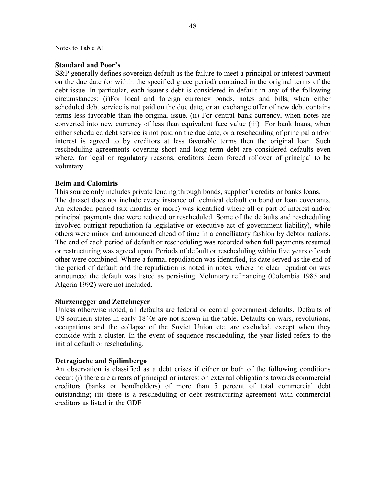#### Notes to Table A1

### **Standard and Poor's**

S&P generally defines sovereign default as the failure to meet a principal or interest payment on the due date (or within the specified grace period) contained in the original terms of the debt issue. In particular, each issuer's debt is considered in default in any of the following circumstances: (i)For local and foreign currency bonds, notes and bills, when either scheduled debt service is not paid on the due date, or an exchange offer of new debt contains terms less favorable than the original issue. (ii) For central bank currency, when notes are converted into new currency of less than equivalent face value (iii) For bank loans, when either scheduled debt service is not paid on the due date, or a rescheduling of principal and/or interest is agreed to by creditors at less favorable terms then the original loan. Such rescheduling agreements covering short and long term debt are considered defaults even where, for legal or regulatory reasons, creditors deem forced rollover of principal to be voluntary.

### **Beim and Calomiris**

This source only includes private lending through bonds, supplier's credits or banks loans. The dataset does not include every instance of technical default on bond or loan covenants. An extended period (six months or more) was identified where all or part of interest and/or principal payments due were reduced or rescheduled. Some of the defaults and rescheduling involved outright repudiation (a legislative or executive act of government liability), while others were minor and announced ahead of time in a conciliatory fashion by debtor nations. The end of each period of default or rescheduling was recorded when full payments resumed or restructuring was agreed upon. Periods of default or rescheduling within five years of each other were combined. Where a formal repudiation was identified, its date served as the end of the period of default and the repudiation is noted in notes, where no clear repudiation was announced the default was listed as persisting. Voluntary refinancing (Colombia 1985 and Algeria 1992) were not included.

#### **Sturzenegger and Zettelmeyer**

Unless otherwise noted, all defaults are federal or central government defaults. Defaults of US southern states in early 1840s are not shown in the table. Defaults on wars, revolutions, occupations and the collapse of the Soviet Union etc. are excluded, except when they coincide with a cluster. In the event of sequence rescheduling, the year listed refers to the initial default or rescheduling.

### **Detragiache and Spilimbergo**

An observation is classified as a debt crises if either or both of the following conditions occur: (i) there are arrears of principal or interest on external obligations towards commercial creditors (banks or bondholders) of more than 5 percent of total commercial debt outstanding; (ii) there is a rescheduling or debt restructuring agreement with commercial creditors as listed in the GDF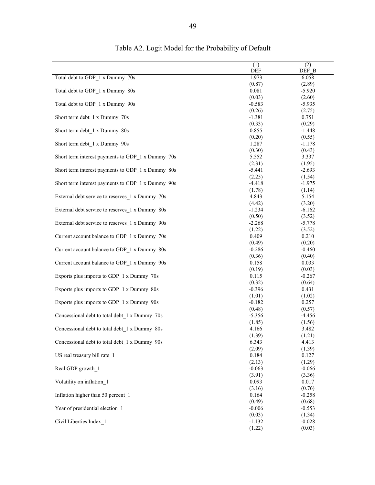|                                                   | (1)             | (2)             |
|---------------------------------------------------|-----------------|-----------------|
|                                                   | DEF             | DEF B           |
| Total debt to GDP_1 x Dummy 70s                   | 1.973           | 6.058           |
|                                                   | (0.87)          | (2.89)          |
| Total debt to GDP_1 x Dummy 80s                   | 0.081           | $-5.920$        |
|                                                   | (0.03)          | (2.60)          |
| Total debt to GDP_1 x Dummy 90s                   | $-0.583$        | $-5.935$        |
|                                                   | (0.26)          | (2.75)          |
| Short term debt 1 x Dummy 70s                     | $-1.381$        | 0.751           |
|                                                   | (0.33)          | (0.29)          |
| Short term debt 1 x Dummy 80s                     | 0.855           | $-1.448$        |
|                                                   | (0.20)          | (0.55)          |
| Short term debt 1 x Dummy 90s                     | 1.287           | $-1.178$        |
|                                                   | (0.30)          | (0.43)          |
| Short term interest payments to GDP_1 x Dummy 70s | 5.552           | 3.337           |
|                                                   | (2.31)          | (1.95)          |
| Short term interest payments to GDP_1 x Dummy 80s | $-5.441$        | $-2.693$        |
|                                                   | (2.25)          | (1.54)          |
| Short term interest payments to GDP 1 x Dummy 90s | $-4.418$        | $-1.975$        |
|                                                   | (1.78)          | (1.14)          |
| External debt service to reserves 1 x Dummy 70s   | 4.843           | 5.154           |
|                                                   | (4.42)          | (3.20)          |
| External debt service to reserves_1 x Dummy 80s   | $-1.234$        | $-6.162$        |
|                                                   | (0.50)          | (3.52)          |
| External debt service to reserves 1 x Dummy 90s   | $-2.268$        | $-5.778$        |
|                                                   | (1.22)          | (3.52)          |
| Current account balance to GDP_1 x Dummy 70s      | 0.409           | 0.210           |
|                                                   | (0.49)          | (0.20)          |
| Current account balance to GDP_1 x Dummy 80s      | $-0.286$        | $-0.460$        |
|                                                   | (0.36)          | (0.40)          |
| Current account balance to GDP_1 x Dummy 90s      | 0.158           | 0.033           |
|                                                   | (0.19)          | (0.03)          |
| Exports plus imports to GDP_1 x Dummy 70s         | 0.115           | $-0.267$        |
|                                                   | (0.32)          | (0.64)          |
| Exports plus imports to GDP_1 x Dummy 80s         | $-0.396$        | 0.431           |
|                                                   | (1.01)          | (1.02)          |
| Exports plus imports to GDP_1 x Dummy 90s         | $-0.182$        | 0.257           |
|                                                   | (0.48)          | (0.57)          |
| Concessional debt to total debt 1 x Dummy 70s     | $-5.356$        | $-4.456$        |
|                                                   | (1.85)          | (1.56)<br>3.482 |
| Concessional debt to total debt 1 x Dummy 80s     | 4.166           |                 |
| Concessional debt to total debt 1 x Dummy 90s     | (1.39)<br>6.343 | (1.21)<br>4.413 |
|                                                   | (2.09)          | (1.39)          |
| US real treasury bill rate 1                      | 0.184           | 0.127           |
|                                                   | (2.13)          | (1.29)          |
| Real GDP growth 1                                 | $-0.063$        | $-0.066$        |
|                                                   | (3.91)          | (3.36)          |
| Volatility on inflation 1                         | 0.093           | 0.017           |
|                                                   | (3.16)          | (0.76)          |
| Inflation higher than 50 percent 1                | 0.164           | $-0.258$        |
|                                                   | (0.49)          | (0.68)          |
| Year of presidential election 1                   | $-0.006$        | $-0.553$        |
|                                                   | (0.03)          | (1.34)          |
| Civil Liberties Index 1                           | $-1.132$        | $-0.028$        |
|                                                   | (1.22)          | (0.03)          |

# Table A2. Logit Model for the Probability of Default